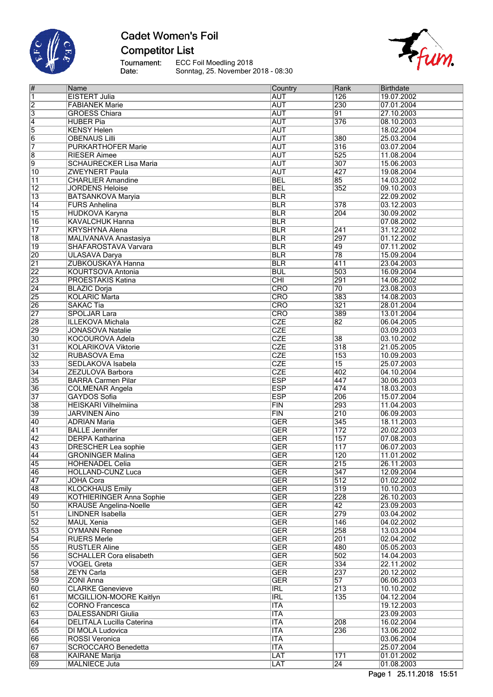

# **Cadet Women's Foil Competitor List**

Tournament:<br>Date: ECC Foil Moedling 2018 Sonntag, 25. November 2018 - 08:30



| #               | Name                            | Country                 | Rank             | Birthdate  |
|-----------------|---------------------------------|-------------------------|------------------|------------|
| 1               | <b>EISTERT Julia</b>            | <b>AUT</b>              | 126              | 19.07.2002 |
| 2               | <b>FABIANEK Marie</b>           | <b>AUT</b>              | 230              | 07.01.2004 |
| $\overline{3}$  | <b>GROESS Chiara</b>            | <b>AUT</b>              | 91               | 27.10.2003 |
|                 |                                 | <b>AUT</b>              | 376              |            |
| 4               | <b>HUBER Pia</b>                |                         |                  | 08.10.2003 |
| $\overline{5}$  | <b>KENSY Helen</b>              | <b>AUT</b>              |                  | 18.02.2004 |
| $\overline{6}$  | <b>OBENAUS Lilli</b>            | <b>AUT</b>              | 380              | 25.03.2004 |
| 7               | <b>PURKARTHOFER Marie</b>       | <b>AUT</b>              | 316              | 03.07.2004 |
| 8               | <b>RIESER Aimee</b>             | <b>AUT</b>              | 525              | 11.08.2004 |
| $\overline{9}$  | <b>SCHAURECKER Lisa Maria</b>   | <b>AUT</b>              | 307              | 15.06.2003 |
| $\overline{10}$ | <b>ZWEYNERT Paula</b>           | <b>AUT</b>              | 427              | 19.08.2004 |
| $\overline{11}$ | <b>CHARLIER Amandine</b>        | <b>BEL</b>              | $\overline{85}$  | 14.03.2002 |
|                 | <b>JORDENS Heloise</b>          |                         | 352              | 09.10.2003 |
| $\overline{12}$ |                                 | <b>BEL</b>              |                  |            |
| $\overline{13}$ | <b>BATSANKOVA Maryia</b>        | <b>BLR</b>              |                  | 22.09.2002 |
| $\overline{14}$ | <b>FURS Anhelina</b>            | <b>BLR</b>              | 378              | 03.12.2003 |
| $\overline{15}$ | <b>HUDKOVA Karyna</b>           | <b>BLR</b>              | 204              | 30.09.2002 |
| $\overline{16}$ | <b>KAVALCHUK Hanna</b>          | <b>BLR</b>              |                  | 07.08.2002 |
| $\overline{17}$ | <b>KRYSHYNA Alena</b>           | <b>BLR</b>              | 241              | 31.12.2002 |
| $\overline{18}$ | MALIVANAVA Anastasiya           | <b>BLR</b>              | 297              | 01.12.2002 |
| $\overline{19}$ | SHAFAROSTAVA Varvara            | <b>BLR</b>              | 49               | 07.11.2002 |
| $\overline{20}$ |                                 |                         | $\overline{78}$  |            |
|                 | <b>ULASAVA Darya</b>            | <b>BLR</b>              |                  | 15.09.2004 |
| $\overline{21}$ | ZUBKOUSKAYA Hanna               | <b>BLR</b>              | 411              | 23.04.2003 |
| $\overline{22}$ | <b>KOURTSOVA Antonia</b>        | <b>BUL</b>              | 503              | 16.09.2004 |
| $\overline{23}$ | <b>PROESTAKIS Katina</b>        | CHI                     | 291              | 14.06.2002 |
| $\overline{24}$ | <b>BLAZIC Dorja</b>             | <b>CRO</b>              | $\overline{70}$  | 23.08.2003 |
| $\overline{25}$ | <b>KOLARIC Marta</b>            | $\overline{\text{CRO}}$ | 383              | 14.08.2003 |
| $\overline{26}$ | <b>SAKAC Tia</b>                | CRO                     | 321              | 28.01.2004 |
| $\overline{27}$ | <b>SPOLJAR Lara</b>             | CRO                     | 389              | 13.01.2004 |
| $\overline{28}$ | <b>ILLEKOVA Michala</b>         | <b>CZE</b>              | $\overline{82}$  | 06.04.2005 |
|                 |                                 |                         |                  |            |
| 29              | <b>JONASOVA Natalie</b>         | <b>CZE</b>              |                  | 03.09.2003 |
| $\overline{30}$ | <b>KOCOUROVA Adela</b>          | <b>CZE</b>              | 38               | 03.10.2002 |
| $\overline{31}$ | <b>KOLARIKOVA Viktorie</b>      | CZE                     | $\overline{318}$ | 21.05.2005 |
| $\overline{32}$ | RUBASOVA Ema                    | <b>CZE</b>              | 153              | 10.09.2003 |
| $\overline{33}$ | SEDLAKOVA Isabela               | <b>CZE</b>              | $\overline{15}$  | 25.07.2003 |
| $\overline{34}$ | ZEZULOVA Barbora                | CZE                     | 402              | 04.10.2004 |
| $\overline{35}$ | <b>BARRA Carmen Pilar</b>       | <b>ESP</b>              | 447              | 30.06.2003 |
| $\overline{36}$ | <b>COLMENAR Angela</b>          | <b>ESP</b>              | 474              | 18.03.2003 |
| $\overline{37}$ | GAYDOS Sofia                    | <b>ESP</b>              | 206              | 15.07.2004 |
| $\overline{38}$ | <b>HEISKARI Vilhelmiina</b>     | FIN                     | 293              | 11.04.2003 |
| 39              | <b>JARVINEN Aino</b>            | FIN                     | $\overline{210}$ | 06.09.2003 |
|                 |                                 |                         |                  |            |
| $\overline{40}$ | <b>ADRIAN Maria</b>             | <b>GER</b>              | 345              | 18.11.2003 |
| $\overline{41}$ | <b>BALLE</b> Jennifer           | <b>GER</b>              | 172              | 20.02.2003 |
| $\overline{42}$ | <b>DERPA Katharina</b>          | <b>GER</b>              | $\overline{157}$ | 07.08.2003 |
| $\overline{43}$ | <b>DRESCHER Lea sophie</b>      | <b>GER</b>              | $\overline{117}$ | 06.07.2003 |
| $\overline{44}$ | <b>GRONINGER Malina</b>         | <b>GER</b>              | 120              | 11.01.2002 |
| 45              | <b>HOHENADEL Celia</b>          | GER                     | 215              | 26.11.2003 |
| 46              | HOLLAND-CUNZ Luca               | <b>GER</b>              | 347              | 12.09.2004 |
| 47              | <b>JOHA Cora</b>                | <b>GER</b>              | 512              | 01.02.2002 |
| 48              | <b>KLOCKHAUS Emily</b>          | <b>GER</b>              | 319              | 10.10.2003 |
| 49              | <b>KOTHIERINGER Anna Sophie</b> | <b>GER</b>              | 228              | 26.10.2003 |
| $\overline{50}$ |                                 | <b>GER</b>              | $\overline{42}$  | 23.09.2003 |
|                 | <b>KRAUSE Angelina-Noelle</b>   |                         | 279              | 03.04.2002 |
| $\overline{51}$ | LINDNER Isabella                | <b>GER</b>              |                  |            |
| $\overline{52}$ | <b>MAUL Xenia</b>               | <b>GER</b>              | $\overline{146}$ | 04.02.2002 |
| $\overline{53}$ | <b>OYMANN Renee</b>             | <b>GER</b>              | 258              | 13.03.2004 |
| $\overline{54}$ | <b>RUERS Merle</b>              | <b>GER</b>              | 201              | 02.04.2002 |
| $\overline{55}$ | <b>RUSTLER Aline</b>            | <b>GER</b>              | 480              | 05.05.2003 |
| 56              | <b>SCHALLER Cora elisabeth</b>  | <b>GER</b>              | 502              | 14.04.2003 |
| $\overline{57}$ | <b>VOGEL Greta</b>              | <b>GER</b>              | 334              | 22.11.2002 |
| 58              | <b>ZEYN Carla</b>               | <b>GER</b>              | 237              | 20.12.2002 |
| 59              | <b>ZONI Anna</b>                | <b>GER</b>              | $\overline{57}$  | 06.06.2003 |
| 60              |                                 |                         | $\overline{213}$ |            |
|                 | <b>CLARKE Genevieve</b>         | <b>IRL</b>              |                  | 10.10.2002 |
| 61              | MCGILLION-MOORE Kaitlyn         | <b>IRL</b>              | 135              | 04.12.2004 |
| 62              | CORNO Francesca                 | <b>ITA</b>              |                  | 19.12.2003 |
| 63              | <b>DALESSANDRI Giulia</b>       | <b>ITA</b>              |                  | 23.09.2003 |
| 64              | DELITALA Lucilla Caterina       | <b>ITA</b>              | 208              | 16.02.2004 |
| 65              | DI MOLA Ludovica                | <b>ITA</b>              | 236              | 13.06.2002 |
| 66              | <b>ROSSI Veronica</b>           | <b>ITA</b>              |                  | 03.06.2004 |
| 67              | <b>SCROCCARO Benedetta</b>      | <b>ITA</b>              |                  | 25.07.2004 |
| 68              | KAIRANE Marija                  | LAT                     | 171              | 01.01.2002 |
| 69              | <b>MALNIECE Juta</b>            | LAT                     | $\overline{24}$  | 01.08.2003 |
|                 |                                 |                         |                  |            |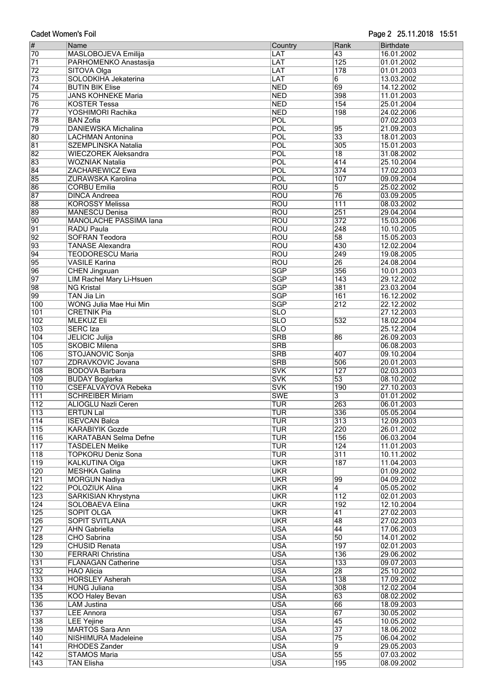| <b>Cadet Women's Foil</b> |
|---------------------------|

| $\overline{\#}$  | Name                          | Country                 | Rank             | Birthdate  |
|------------------|-------------------------------|-------------------------|------------------|------------|
| 70               | MASLOBOJEVA Emilija           |                         | 43               | 16.01.2002 |
|                  |                               | LAT                     |                  |            |
| $\overline{71}$  | PARHOMENKO Anastasija         | LAT                     | $\overline{125}$ | 01.01.2002 |
| $\overline{72}$  | SITOVA Olga                   | LAT                     | 178              | 01.01.2003 |
| 73               | SOLODKIHA Jekaterina          | LAT                     | 6                | 13.03.2002 |
| $\overline{74}$  | <b>BUTIN BIK Elise</b>        | <b>NED</b>              | 69               | 14.12.2002 |
| $\overline{75}$  | <b>JANS KOHNEKE Maria</b>     | <b>NED</b>              | 398              | 11.01.2003 |
|                  |                               |                         |                  |            |
| 76               | <b>KOSTER Tessa</b>           | <b>NED</b>              | 154              | 25.01.2004 |
| $\overline{77}$  | YOSHIMORI Rachika             | <b>NED</b>              | 198              | 24.02.2006 |
| 78               | <b>BAN Zofia</b>              | POL                     |                  | 07.02.2003 |
| 79               | <b>DANIEWSKA Michalina</b>    | POL                     | 95               | 21.09.2003 |
| 80               | <b>LACHMAN Antonina</b>       | POL                     | $\overline{33}$  | 18.01.2003 |
| 81               | SZEMPLINSKA Natalia           | POL                     | 305              | 15.01.2003 |
|                  |                               |                         |                  |            |
| 82               | <b>WIECZOREK Aleksandra</b>   | POL                     | $\overline{18}$  | 31.08.2002 |
| 83               | <b>WOZNIAK Natalia</b>        | POL                     | 414              | 25.10.2004 |
| 84               | <b>ZACHAREWICZ Ewa</b>        | POL                     | 374              | 17.02.2003 |
| 85               | ZURAWSKA Karolina             | POL                     | 107              | 09.09.2004 |
| 86               | <b>CORBU Emilia</b>           | <b>ROU</b>              | 5                | 25.02.2002 |
| 87               | <b>DINCA Andreea</b>          | <b>ROU</b>              | $\overline{76}$  | 03.09.2005 |
|                  |                               |                         |                  |            |
| 88               | <b>KOROSSY Melissa</b>        | <b>ROU</b>              | $\overline{111}$ | 08.03.2002 |
| 89               | <b>MANESCU Denisa</b>         | <b>ROU</b>              | 251              | 29.04.2004 |
| 90               | <b>MANOLACHE PASSIMA lana</b> | <b>ROU</b>              | $\overline{372}$ | 15.03.2006 |
| 91               | <b>RADU Paula</b>             | <b>ROU</b>              | 248              | 10.10.2005 |
| $\overline{92}$  | <b>SOFRAN Teodora</b>         | <b>ROU</b>              | $\overline{58}$  | 15.05.2003 |
| 93               | <b>TANASE Alexandra</b>       | <b>ROU</b>              | 430              | 12.02.2004 |
|                  |                               |                         |                  |            |
| 94               | <b>TEODORESCU Maria</b>       | <b>ROU</b>              | 249              | 19.08.2005 |
| 95               | <b>VASILE Karina</b>          | <b>ROU</b>              | $\overline{26}$  | 24.08.2004 |
| 96               | <b>CHEN Jingxuan</b>          | <b>SGP</b>              | 356              | 10.01.2003 |
| $\overline{97}$  | LIM Rachel Mary Li-Hsuen      | <b>SGP</b>              | 143              | 29.12.2002 |
| 98               | <b>NG Kristal</b>             | <b>SGP</b>              | 381              | 23.03.2004 |
| 99               | <b>TAN Jia Lin</b>            | <b>SGP</b>              | 161              | 16.12.2002 |
|                  |                               |                         |                  |            |
| 100              | WONG Julia Mae Hui Min        | <b>SGP</b>              | 212              | 22.12.2002 |
| $\overline{101}$ | <b>CRETNIK Pia</b>            | <b>SLO</b>              |                  | 27.12.2003 |
| 102              | <b>MLEKUZ Eli</b>             | <b>SLO</b>              | 532              | 18.02.2004 |
| 103              | <b>SERC</b> Iza               | $\overline{\text{SLO}}$ |                  | 25.12.2004 |
| 104              | <b>JELICIC Julija</b>         | <b>SRB</b>              | 86               | 26.09.2003 |
| 105              | <b>SKOBIC Milena</b>          | <b>SRB</b>              |                  | 06.08.2003 |
|                  |                               |                         |                  |            |
| 106              | STOJANOVIC Sonja              | <b>SRB</b>              | 407              | 09.10.2004 |
| 107              | ZDRAVKOVIC Jovana             | <b>SRB</b>              | 506              | 20.01.2003 |
| 108              | <b>BODOVA Barbara</b>         | <b>SVK</b>              | 127              | 02.03.2003 |
| 109              | <b>BUDAY Boglarka</b>         | <b>SVK</b>              | $\overline{53}$  | 08.10.2002 |
| $\overline{110}$ | <b>CSEFALVAYOVA Rebeka</b>    | <b>SVK</b>              | 190              | 27.10.2003 |
| 111              | <b>SCHREIBER Miriam</b>       | <b>SWE</b>              | 3                | 01.01.2002 |
| $\overline{112}$ | <b>ALIOGLU Nazli Ceren</b>    | TUR                     | 263              |            |
|                  |                               |                         |                  | 06.01.2003 |
| 113              | <b>ERTUN Lal</b>              | TUR                     | 336              | 05.05.2004 |
| $\overline{114}$ | <b>ISEVCAN Balca</b>          | <b>TUR</b>              | 313              | 12.09.2003 |
| $\overline{115}$ | <b>KARABIYIK Gozde</b>        | <b>TUR</b>              | 220              | 26.01.2002 |
| $\overline{116}$ | <b>KARATABAN Selma Defne</b>  | <b>TUR</b>              | 156              | 06.03.2004 |
| $\overline{117}$ | <b>TASDELEN Melike</b>        | <b>TUR</b>              | 124              | 11.01.2003 |
| $\overline{118}$ | <b>TOPKORU Deniz Sona</b>     | <b>TUR</b>              | $\overline{311}$ | 10.11.2002 |
| $\overline{119}$ | <b>KALKUTINA Olga</b>         | <b>UKR</b>              | 187              | 11.04.2003 |
|                  |                               |                         |                  |            |
| $\overline{120}$ | MESHKA Galina                 | <b>UKR</b>              |                  | 01.09.2002 |
| $\overline{121}$ | <b>MORGUN Nadiya</b>          | <b>UKR</b>              | 99               | 04.09.2002 |
| $\overline{122}$ | <b>POLOZIUK Alina</b>         | <b>UKR</b>              | 4                | 05.05.2002 |
| $\overline{123}$ | <b>SARKISIAN Khrystyna</b>    | <b>UKR</b>              | 112              | 02.01.2003 |
| 124              | SOLOBAEVA Elina               | <b>UKR</b>              | 192              | 12.10.2004 |
| $\overline{125}$ | <b>SOPIT OLGA</b>             | <b>UKR</b>              | $\overline{41}$  | 27.02.2003 |
| $\overline{126}$ | <b>SOPIT SVITLANA</b>         | <b>UKR</b>              | 48               | 27.02.2003 |
|                  |                               |                         |                  |            |
| $\overline{127}$ | <b>AHN Gabriella</b>          | <b>USA</b>              | 44               | 17.06.2003 |
| $\overline{128}$ | CHO Sabrina                   | <b>USA</b>              | 50               | 14.01.2002 |
| $\overline{129}$ | <b>CHUSID Renata</b>          | <b>USA</b>              | 197              | 02.01.2003 |
| 130              | <b>FERRARI Christina</b>      | <b>USA</b>              | 136              | 29.06.2002 |
| 131              | <b>FLANAGAN Catherine</b>     | <b>USA</b>              | 133              | 09.07.2003 |
| $ 132\rangle$    | <b>HAO Alicia</b>             | <b>USA</b>              | $\overline{28}$  | 25.10.2002 |
|                  |                               |                         |                  |            |
| 133              | <b>HORSLEY Asherah</b>        | <b>USA</b>              | 138              | 17.09.2002 |
| $\overline{134}$ | <b>HUNG Juliana</b>           | <b>USA</b>              | 308              | 12.02.2004 |
| $\overline{135}$ | <b>KOO Haley Bevan</b>        | <b>USA</b>              | 63               | 08.02.2002 |
| 136              | <b>LAM Justina</b>            | <b>USA</b>              | 66               | 18.09.2003 |
| 137              | <b>LEE Annora</b>             | <b>USA</b>              | 67               | 30.05.2002 |
| 138              | <b>LEE Yejine</b>             | <b>USA</b>              | $\overline{45}$  | 10.05.2002 |
|                  |                               |                         |                  |            |
| $\overline{139}$ | <b>MARTOS Sara Ann</b>        | <b>USA</b>              | $\overline{37}$  | 18.06.2002 |
| $ 140\rangle$    | NISHIMURA Madeleine           | <b>USA</b>              | $\overline{75}$  | 06.04.2002 |
| $\overline{141}$ | RHODES Zander                 | <b>USA</b>              | 9                | 29.05.2003 |
| $\overline{142}$ | <b>STAMOS Maria</b>           | <b>USA</b>              | $\overline{55}$  | 07.03.2002 |
| $\overline{143}$ | <b>TAN Flisha</b>             | <b>IUSA</b>             | 195              | 08.09.2002 |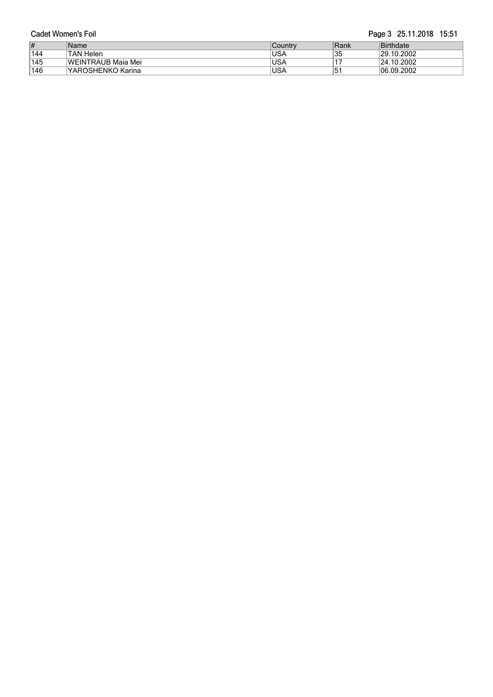| Cadet Women's Foil |                           |            | Page 3 25.11.2018 15:51 |                      |
|--------------------|---------------------------|------------|-------------------------|----------------------|
| $\vert \sharp$     | Name                      | ∣Countrv   | ∣Rank                   | Birthdate            |
| 144                | TAN Helen                 | <b>USA</b> | '35                     | 29.10.2002           |
| 145                | <b>WEINTRAUB Maja Mei</b> | <b>USA</b> |                         | $ 24.10.2002\rangle$ |
| 146                | lYAROSHENKO Karina        | <b>USA</b> | 151                     | 06.09.2002           |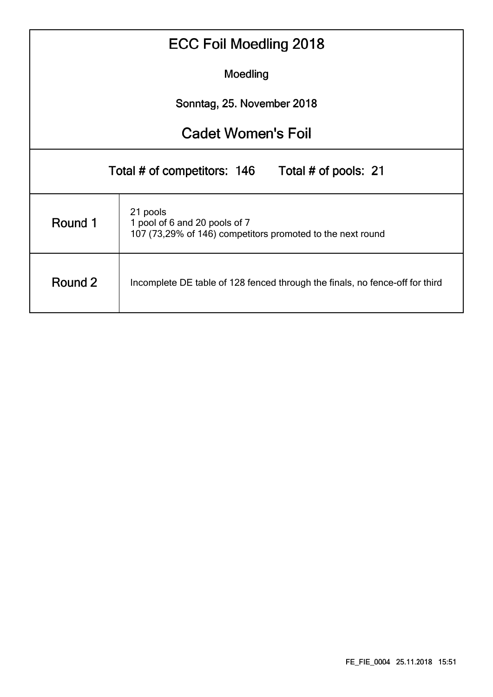|          | <b>ECC Foil Moedling 2018</b>                                                                           |  |  |  |  |  |  |  |  |  |  |
|----------|---------------------------------------------------------------------------------------------------------|--|--|--|--|--|--|--|--|--|--|
| Moedling |                                                                                                         |  |  |  |  |  |  |  |  |  |  |
|          | Sonntag, 25. November 2018                                                                              |  |  |  |  |  |  |  |  |  |  |
|          | <b>Cadet Women's Foil</b>                                                                               |  |  |  |  |  |  |  |  |  |  |
|          | Total # of competitors: 146 Total # of pools: 21                                                        |  |  |  |  |  |  |  |  |  |  |
| Round 1  | 21 pools<br>1 pool of 6 and 20 pools of 7<br>107 (73,29% of 146) competitors promoted to the next round |  |  |  |  |  |  |  |  |  |  |
| Round 2  | Incomplete DE table of 128 fenced through the finals, no fence-off for third                            |  |  |  |  |  |  |  |  |  |  |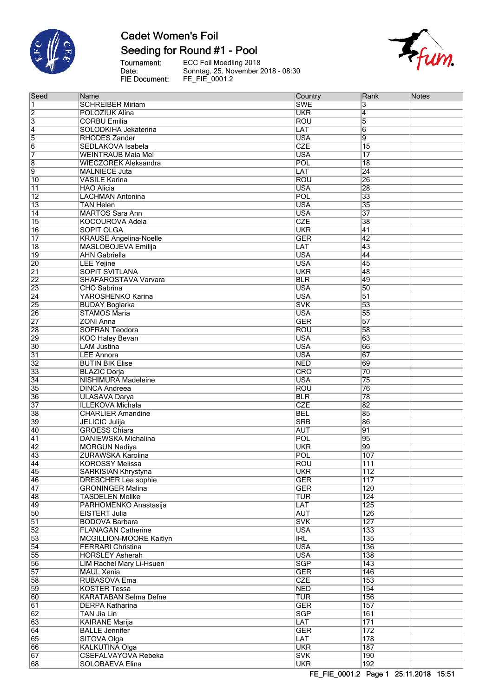

 $\overline{\mathbf{Q}}$  and  $\overline{\mathbf{Q}}$ 

# **Cadet Women's Foil**

## Seeding for Round #1 - Pool

Tournament:<br>Date: FIE Document:

ECC Foil Moedling 2018<br>Sonntag, 25. November 2018 - 08:30<br>FE\_FIE\_0001.2



| Seed                               | Name                                            | Country                  | $\sf Rank$                           | <b>Notes</b> |
|------------------------------------|-------------------------------------------------|--------------------------|--------------------------------------|--------------|
| 1                                  | <b>SCHREIBER Miriam</b>                         | <b>SWE</b>               | 3                                    |              |
| 2                                  | POLOZIUK Alina                                  | <b>UKR</b>               | $\overline{4}$                       |              |
| 3                                  | <b>CORBU Emilia</b>                             | <b>ROU</b>               | $\overline{5}$                       |              |
| 4                                  | SOLODKIHA Jekaterina                            | LAT                      | $\overline{6}$                       |              |
| $\overline{5}$                     | <b>RHODES Zander</b>                            | <b>USA</b>               | 9                                    |              |
| $\overline{6}$                     | SEDLAKOVA Isabela                               | <b>CZE</b>               | $\overline{15}$                      |              |
| 7                                  | <b>WEINTRAUB Maia Mei</b>                       | <b>USA</b>               | $\overline{17}$                      |              |
| 8                                  | <b>WIECZOREK Aleksandra</b>                     | POL                      | $\overline{18}$                      |              |
| 9                                  | <b>MALNIECE Juta</b>                            | LAT                      | $\overline{24}$                      |              |
| $\overline{10}$                    | <b>VASILE Karina</b>                            | <b>ROU</b>               | 26                                   |              |
| 11                                 | <b>HAO Alicia</b>                               | <b>USA</b>               | 28                                   |              |
| $\overline{12}$                    | <b>LACHMAN Antonina</b>                         | POL                      | $\overline{33}$                      |              |
| $\overline{13}$                    | <b>TAN Helen</b>                                | <b>USA</b>               | 35<br>$\overline{37}$                |              |
| $\overline{14}$<br>$\overline{15}$ | <b>MARTOS Sara Ann</b><br>KOCOUROVA Adela       | <b>USA</b><br><b>CZE</b> | $\overline{38}$                      |              |
| $\overline{16}$                    | <b>SOPIT OLGA</b>                               | <b>UKR</b>               | 41                                   |              |
| $\overline{17}$                    | <b>KRAUSE Angelina-Noelle</b>                   | <b>GER</b>               | $\overline{42}$                      |              |
| $\overline{18}$                    | MASLOBOJEVA Emilija                             | LAT                      | 43                                   |              |
| $\overline{19}$                    | <b>AHN Gabriella</b>                            | <b>USA</b>               | 44                                   |              |
| $\overline{20}$                    | <b>LEE Yejine</b>                               | <b>USA</b>               | 45                                   |              |
| $\overline{21}$                    | <b>SOPIT SVITLANA</b>                           | <b>UKR</b>               | 48                                   |              |
| $\overline{22}$                    | <b>SHAFAROSTAVA Varvara</b>                     | <b>BLR</b>               | 49                                   |              |
| $\overline{23}$                    | <b>CHO</b> Sabrina                              | <b>USA</b>               | 50                                   |              |
| $\overline{24}$                    | YAROSHENKO Karina                               | <b>USA</b>               | 51                                   |              |
| $\overline{25}$                    | <b>BUDAY Boglarka</b>                           | <b>SVK</b>               | 53                                   |              |
| $\overline{26}$                    | <b>STAMOS Maria</b>                             | <b>USA</b>               | 55                                   |              |
| $\overline{27}$                    | <b>ZONI Anna</b>                                | <b>GER</b>               | 57                                   |              |
| $\overline{28}$                    | <b>SOFRAN Teodora</b>                           | <b>ROU</b>               | 58                                   |              |
| 29                                 | <b>KOO Haley Bevan</b>                          | <b>USA</b>               | 63                                   |              |
| $\overline{30}$                    | <b>LAM Justina</b>                              | <b>USA</b>               | 66                                   |              |
| $\overline{31}$                    | <b>LEE Annora</b>                               | <b>USA</b>               | 67                                   |              |
| $\overline{32}$                    | <b>BUTIN BIK Elise</b>                          | <b>NED</b>               | 69                                   |              |
| $\overline{33}$                    | <b>BLAZIC Dorja</b>                             | CRO                      | 70                                   |              |
| $\overline{34}$                    | NISHIMURA Madeleine                             | <b>USA</b>               | $\overline{75}$                      |              |
| $\overline{35}$                    | <b>DINCA Andreea</b>                            | <b>ROU</b>               | $\overline{76}$                      |              |
| 36                                 | <b>ULASAVA Darya</b>                            | <b>BLR</b>               | $\overline{78}$                      |              |
| $\overline{37}$                    | <b>ILLEKOVA Michala</b>                         | <b>CZE</b>               | 82                                   |              |
| $\overline{38}$                    | <b>CHARLIER Amandine</b>                        | <b>BEL</b>               | 85                                   |              |
| 39                                 | <b>JELICIC Julija</b>                           | <b>SRB</b>               | 86                                   |              |
| 40                                 | <b>GROESS Chiara</b>                            | <b>AUT</b>               | 91                                   |              |
| $\overline{41}$                    | DANIEWSKA Michalina                             | POL                      | 95                                   |              |
| $\overline{42}$                    | <b>MORGUN Nadiya</b>                            | <b>UKR</b>               | 99                                   |              |
| $\overline{43}$                    | <b>ZURAWSKA Karolina</b>                        | POL                      | 107                                  |              |
| 44                                 | KOROSSY Melissa                                 | <b>ROU</b>               | 111                                  |              |
| $\overline{45}$                    | <b>SARKISIAN Khrystyna</b>                      | <b>UKR</b>               | $\overline{112}$                     |              |
| 46                                 | <b>DRESCHER Lea sophie</b>                      | <b>GER</b>               | $\overline{117}$                     |              |
| 47                                 | <b>GRONINGER Malina</b>                         | <b>GER</b>               | 120                                  |              |
| 48<br>49                           | <b>TASDELEN Melike</b><br>PARHOMENKO Anastasija | <b>TUR</b><br>LAT        | $\overline{124}$<br>$\overline{125}$ |              |
| $\overline{50}$                    | <b>EISTERT Julia</b>                            | <b>AUT</b>               | 126                                  |              |
| $\overline{51}$                    | <b>BODOVA Barbara</b>                           | <b>SVK</b>               | $\overline{127}$                     |              |
| $\overline{52}$                    | <b>FLANAGAN Catherine</b>                       | <b>USA</b>               | 133                                  |              |
| $\overline{53}$                    | MCGILLION-MOORE Kaitlyn                         | $\overline{\text{IRL}}$  | 135                                  |              |
| $\overline{54}$                    | <b>FERRARI Christina</b>                        | <b>USA</b>               | 136                                  |              |
| $\overline{55}$                    | <b>HORSLEY Asherah</b>                          | <b>USA</b>               | 138                                  |              |
| 56                                 | LIM Rachel Mary Li-Hsuen                        | <b>SGP</b>               | $\overline{143}$                     |              |
| $\overline{57}$                    | <b>MAUL Xenia</b>                               | <b>GER</b>               | 146                                  |              |
| $\overline{58}$                    | <b>RUBASOVA Ema</b>                             | <b>CZE</b>               | $\overline{153}$                     |              |
| $\overline{59}$                    | <b>KOSTER Tessa</b>                             | <b>NED</b>               | 154                                  |              |
| 60                                 | <b>KARATABAN Selma Defne</b>                    | <b>TUR</b>               | 156                                  |              |
| $\overline{61}$                    | <b>DERPA Katharina</b>                          | <b>GER</b>               | $\overline{157}$                     |              |
| $\overline{62}$                    | <b>TAN Jia Lin</b>                              | <b>SGP</b>               | $\overline{161}$                     |              |
| $\overline{63}$                    | <b>KAIRANE Marija</b>                           | LAT                      | 171                                  |              |
| 64                                 | <b>BALLE Jennifer</b>                           | <b>GER</b>               | $\overline{172}$                     |              |
| 65                                 | SITOVA Olga                                     | LAT                      | 178                                  |              |
| 66                                 | KALKUTINA Olga                                  | <b>UKR</b>               | 187                                  |              |
| $\overline{67}$                    | <b>CSEFALVAYOVA Rebeka</b>                      | <b>SVK</b>               | 190                                  |              |
| 68                                 | <b>SOLOBAEVA Elina</b>                          | <b>UKR</b>               | 192                                  |              |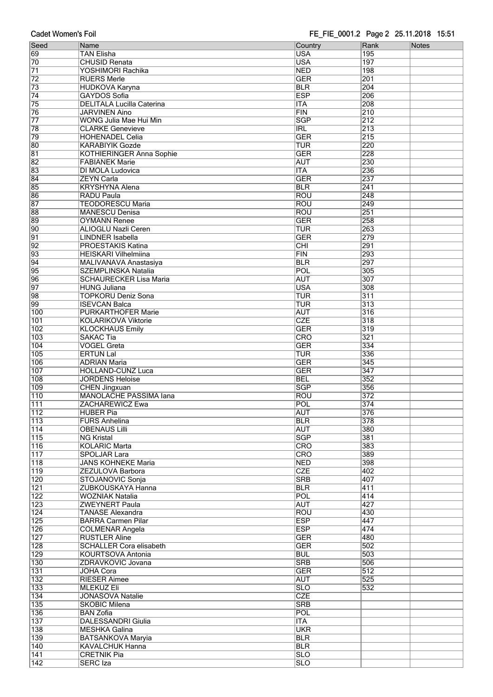### FE FIE 0001.2 Page 2 25.11.2018 15:51

| <b>Cadet Women's Foil</b> |                                                       | FE_FIE_0001.2 Page 2 25.11.2018 15:51 |                  |       |  |  |  |  |  |  |
|---------------------------|-------------------------------------------------------|---------------------------------------|------------------|-------|--|--|--|--|--|--|
| Seed                      | Name                                                  | Country                               | Rank             | Notes |  |  |  |  |  |  |
| 69                        | <b>TAN Elisha</b>                                     | <b>USA</b>                            | 195              |       |  |  |  |  |  |  |
| 70                        | <b>CHUSID Renata</b>                                  | <b>USA</b>                            | 197              |       |  |  |  |  |  |  |
| $\overline{71}$<br>72     | YOSHIMORI Rachika<br><b>RUERS Merle</b>               | <b>NED</b><br><b>GER</b>              | 198<br>201       |       |  |  |  |  |  |  |
| 73                        | <b>HUDKOVA Karyna</b>                                 | <b>BLR</b>                            | 204              |       |  |  |  |  |  |  |
| $\overline{74}$           | GAYDOS Sofia                                          | <b>ESP</b>                            | 206              |       |  |  |  |  |  |  |
| 75                        | <b>DELITALA Lucilla Caterina</b>                      | <b>ITA</b>                            | 208              |       |  |  |  |  |  |  |
| 76                        | <b>JARVINEN Aino</b>                                  | FIN                                   | 210              |       |  |  |  |  |  |  |
| $\overline{77}$           | WONG Julia Mae Hui Min                                | <b>SGP</b>                            | 212              |       |  |  |  |  |  |  |
| 78<br>79                  | <b>CLARKE Genevieve</b><br><b>HOHENADEL Celia</b>     | <b>IRL</b><br><b>GER</b>              | 213<br>215       |       |  |  |  |  |  |  |
| 80                        | <b>KARABIYIK Gozde</b>                                | <b>TUR</b>                            | 220              |       |  |  |  |  |  |  |
| 81                        | <b>KOTHIERINGER Anna Sophie</b>                       | <b>GER</b>                            | 228              |       |  |  |  |  |  |  |
| $\overline{82}$           | <b>FABIANEK Marie</b>                                 | <b>AUT</b>                            | 230              |       |  |  |  |  |  |  |
| 83                        | DI MOLA Ludovica                                      | $\overline{\text{ITA}}$               | 236              |       |  |  |  |  |  |  |
| $\overline{84}$           | <b>ZEYN Carla</b>                                     | <b>GER</b>                            | 237              |       |  |  |  |  |  |  |
| 85                        | <b>KRYSHYNA Alena</b>                                 | <b>BLR</b>                            | 241              |       |  |  |  |  |  |  |
| 86<br>87                  | <b>RADU Paula</b><br><b>TEODORESCU Maria</b>          | <b>ROU</b><br><b>ROU</b>              | 248<br>249       |       |  |  |  |  |  |  |
| 88                        | <b>MANESCU Denisa</b>                                 | <b>ROU</b>                            | 251              |       |  |  |  |  |  |  |
| 89                        | <b>OYMANN Renee</b>                                   | <b>GER</b>                            | 258              |       |  |  |  |  |  |  |
| 90                        | <b>ALIOGLU Nazli Ceren</b>                            | <b>TUR</b>                            | 263              |       |  |  |  |  |  |  |
| $\overline{91}$           | <b>LINDNER Isabella</b>                               | <b>GER</b>                            | 279              |       |  |  |  |  |  |  |
| $\overline{92}$           | PROESTAKIS Katina                                     | $\overline{CHI}$                      | 291              |       |  |  |  |  |  |  |
| 93                        | <b>HEISKARI Vilhelmiina</b>                           | <b>FIN</b>                            | 293              |       |  |  |  |  |  |  |
| $\overline{94}$<br>95     | MALIVANAVA Anastasiya<br>SZEMPLINSKA Natalia          | <b>BLR</b><br>POL                     | 297<br>305       |       |  |  |  |  |  |  |
| 96                        | <b>SCHAURECKER Lisa Maria</b>                         | <b>AUT</b>                            | 307              |       |  |  |  |  |  |  |
| $\overline{97}$           | <b>HUNG Juliana</b>                                   | <b>USA</b>                            | 308              |       |  |  |  |  |  |  |
| 98                        | <b>TOPKORU Deniz Sona</b>                             | <b>TUR</b>                            | $\overline{311}$ |       |  |  |  |  |  |  |
| 99                        | <b>ISEVCAN Balca</b>                                  | <b>TUR</b>                            | $\overline{313}$ |       |  |  |  |  |  |  |
| 100                       | <b>PURKARTHOFER Marie</b>                             | <b>AUT</b>                            | $\overline{316}$ |       |  |  |  |  |  |  |
| 101                       | <b>KOLARIKOVA Viktorie</b>                            | <b>CZE</b>                            | $\overline{318}$ |       |  |  |  |  |  |  |
| 102<br>103                | <b>KLOCKHAUS Emily</b><br><b>SAKAC Tia</b>            | <b>GER</b><br><b>CRO</b>              | 319<br>321       |       |  |  |  |  |  |  |
| 104                       | <b>VOGEL Greta</b>                                    | <b>GER</b>                            | 334              |       |  |  |  |  |  |  |
| 105                       | <b>ERTUN Lal</b>                                      | <b>TUR</b>                            | 336              |       |  |  |  |  |  |  |
| 106                       | <b>ADRIAN Maria</b>                                   | <b>GER</b>                            | 345              |       |  |  |  |  |  |  |
| 107                       | <b>HOLLAND-CUNZ Luca</b>                              | <b>GER</b>                            | 347              |       |  |  |  |  |  |  |
| 108                       | <b>JORDENS Heloise</b>                                | <b>BEL</b>                            | $\overline{352}$ |       |  |  |  |  |  |  |
| 109<br>$\overline{110}$   | <b>CHEN Jingxuan</b><br><b>MANOLACHE PASSIMA lana</b> | <b>SGP</b><br><b>ROU</b>              | 356<br>372       |       |  |  |  |  |  |  |
| 111                       | <b>ZACHAREWICZ Ewa</b>                                | POL                                   | 374              |       |  |  |  |  |  |  |
| 112                       | <b>HUBER Pia</b>                                      | <b>AUT</b>                            | 376              |       |  |  |  |  |  |  |
| $\overline{113}$          | <b>FURS Anhelina</b>                                  | <b>BLR</b>                            | 378              |       |  |  |  |  |  |  |
| $\overline{114}$          | <b>OBENAUS Lilli</b>                                  | <b>AUT</b>                            | 380              |       |  |  |  |  |  |  |
| $\overline{115}$          | <b>NG Kristal</b>                                     | <b>SGP</b>                            | 381              |       |  |  |  |  |  |  |
| 116                       | <b>KOLARIC Marta</b><br><b>SPOLJAR Lara</b>           | CRO<br>CRO                            | 383<br>389       |       |  |  |  |  |  |  |
| $\overline{117}$<br>118   | <b>JANS KOHNEKE Maria</b>                             | NED                                   | 398              |       |  |  |  |  |  |  |
| 119                       | ZEZULOVA Barbora                                      | <b>CZE</b>                            | 402              |       |  |  |  |  |  |  |
| 120                       | STOJANOVIC Sonja                                      | <b>SRB</b>                            | 407              |       |  |  |  |  |  |  |
| 121                       | ZUBKOUSKAYA Hanna                                     | <b>BLR</b>                            | 411              |       |  |  |  |  |  |  |
| 122                       | <b>WOZNIAK Natalia</b>                                | POL                                   | 414              |       |  |  |  |  |  |  |
| $\overline{123}$          | <b>ZWEYNERT Paula</b>                                 | <b>AUT</b>                            | 427              |       |  |  |  |  |  |  |
| 124<br>125                | <b>TANASE Alexandra</b><br><b>BARRA Carmen Pilar</b>  | <b>ROU</b><br><b>ESP</b>              | 430<br>447       |       |  |  |  |  |  |  |
| 126                       | <b>COLMENAR Angela</b>                                | <b>ESP</b>                            | 474              |       |  |  |  |  |  |  |
| $\overline{127}$          | <b>RUSTLER Aline</b>                                  | <b>GER</b>                            | 480              |       |  |  |  |  |  |  |
| 128                       | <b>SCHALLER Cora elisabeth</b>                        | <b>GER</b>                            | 502              |       |  |  |  |  |  |  |
| 129                       | KOURTSOVA Antonia                                     | <b>BUL</b>                            | 503              |       |  |  |  |  |  |  |
| 130                       | ZDRAVKOVIC Jovana                                     | <b>SRB</b>                            | 506              |       |  |  |  |  |  |  |
| 131                       | <b>JOHA Cora</b>                                      | <b>GER</b>                            | 512              |       |  |  |  |  |  |  |
| 132<br>133                | <b>RIESER Aimee</b><br><b>MLEKUZ Eli</b>              | <b>AUT</b><br>$\overline{\text{SLO}}$ | 525<br>532       |       |  |  |  |  |  |  |
| 134                       | JONASOVA Natalie                                      | <b>CZE</b>                            |                  |       |  |  |  |  |  |  |
| 135                       | <b>SKOBIC Milena</b>                                  | <b>SRB</b>                            |                  |       |  |  |  |  |  |  |
| 136                       | <b>BAN Zofia</b>                                      | POL                                   |                  |       |  |  |  |  |  |  |
| 137                       | <b>DALESSANDRI Giulia</b>                             | <b>ITA</b>                            |                  |       |  |  |  |  |  |  |
| 138                       | <b>MESHKA Galina</b>                                  | <b>UKR</b>                            |                  |       |  |  |  |  |  |  |
| 139                       | <b>BATSANKOVA Maryia</b><br><b>KAVALCHUK Hanna</b>    | <b>BLR</b><br><b>BLR</b>              |                  |       |  |  |  |  |  |  |
| 140<br>141                | <b>CRETNIK Pia</b>                                    | <b>SLO</b>                            |                  |       |  |  |  |  |  |  |
| 142                       | <b>SERC</b> Iza                                       | <b>SLO</b>                            |                  |       |  |  |  |  |  |  |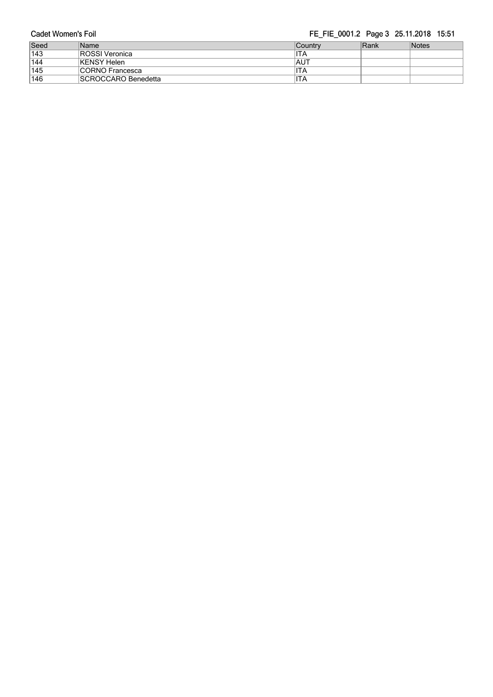### FE\_FIE\_0001.2 Page 3 25.11.2018 15:51

| Seed | Name                       | ∣Countrv    | Rank | <b>Notes</b> |
|------|----------------------------|-------------|------|--------------|
| 143  | <b>ROSSI</b> Veronica      | ITA         |      |              |
| 144  | KENSY Helen                | <b>IAUT</b> |      |              |
| 145  | CORNO Francesca            | ITA         |      |              |
| 146  | <b>SCROCCARO Benedetta</b> | ITA         |      |              |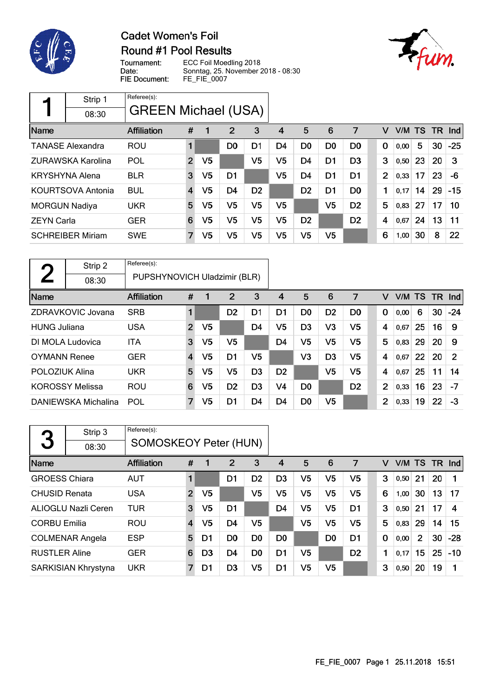

# **Cadet Women's Foil** Round #1 Pool Results

Ffum.

Tournament: ECC Foil Moedling 2018 Date: Sonntag, 25. November 2018 - 08:30 FIE Document: FE\_FIE\_0007

|                      | Strip 1                  | Referee(s):                |                |                |                |                |    |                |                |                |                |        |    |           |       |
|----------------------|--------------------------|----------------------------|----------------|----------------|----------------|----------------|----|----------------|----------------|----------------|----------------|--------|----|-----------|-------|
|                      | 08:30                    | <b>GREEN Michael (USA)</b> |                |                |                |                |    |                |                |                |                |        |    |           |       |
| Name                 |                          | <b>Affiliation</b>         | #              | 1              | 2              | 3              | 4  | 5              | 6              | 7              | v              | V/M TS |    | <b>TR</b> | Ind   |
|                      | <b>TANASE Alexandra</b>  | <b>ROU</b>                 | 1              |                | D <sub>0</sub> | D1             | D4 | D <sub>0</sub> | D <sub>0</sub> | D <sub>0</sub> | 0              | 0,00   | 5  | 30        | $-25$ |
|                      | ZURAWSKA Karolina        | POL                        | $\overline{2}$ | V5             |                | V5             | V5 | D <sub>4</sub> | D <sub>1</sub> | D <sub>3</sub> | 3              | 0,50   | 23 | 20        | 3     |
|                      | <b>KRYSHYNA Alena</b>    | <b>BLR</b>                 | 3              | V <sub>5</sub> | D <sub>1</sub> |                | V5 | D <sub>4</sub> | D1             | D <sub>1</sub> | $\overline{2}$ | 0,33   | 17 | 23        | -6    |
|                      | <b>KOURTSOVA Antonia</b> | <b>BUL</b>                 | 4              | V5             | D <sub>4</sub> | D <sub>2</sub> |    | D <sub>2</sub> | D <sub>1</sub> | D <sub>0</sub> | 1              | 0,17   | 14 | 29        | $-15$ |
| <b>MORGUN Nadiya</b> |                          | <b>UKR</b>                 | 5              | V5             | V5             | V5             | V5 |                | V <sub>5</sub> | D <sub>2</sub> | 5              | 0,83   | 27 | 17        | 10    |
| <b>ZEYN Carla</b>    |                          | <b>GER</b>                 | 6              | V5             | V5             | V5             | V5 | D <sub>2</sub> |                | D <sub>2</sub> | 4              | 0,67   | 24 | 13        | 11    |
|                      | <b>SCHREIBER Miriam</b>  | <b>SWE</b>                 | 7              | V5             | V5             | V5             | V5 | V5             | V5             |                | 6              | 1,00   | 30 | 8         | 22    |

| $\Gamma$              | Strip 2                | Referee(s):                  |                         |                |                |                |                |                |                |                |                |        |    |           |       |
|-----------------------|------------------------|------------------------------|-------------------------|----------------|----------------|----------------|----------------|----------------|----------------|----------------|----------------|--------|----|-----------|-------|
|                       | 08:30                  | PUPSHYNOVICH Uladzimir (BLR) |                         |                |                |                |                |                |                |                |                |        |    |           |       |
| Name                  |                        | Affiliation                  | #                       |                | 2              | 3              | 4              | 5              | 6              | 7              | v              | V/M TS |    | <b>TR</b> | Ind   |
|                       | ZDRAVKOVIC Jovana      | <b>SRB</b>                   | 1                       |                | D <sub>2</sub> | D1             | D1             | D <sub>0</sub> | D <sub>2</sub> | D <sub>0</sub> | $\mathbf 0$    | 0,00   | 6  | 30        | $-24$ |
| <b>HUNG Juliana</b>   |                        | <b>USA</b>                   | $\overline{2}$          | V <sub>5</sub> |                | D4             | V5             | D <sub>3</sub> | V3             | V5             | 4              | 0.67   | 25 | 16        | 9     |
|                       | DI MOLA Ludovica       | ITA                          | 3                       | V <sub>5</sub> | V <sub>5</sub> |                | D <sub>4</sub> | V5             | V <sub>5</sub> | V <sub>5</sub> | 5              | 0,83   | 29 | 20        | 9     |
| <b>OYMANN Renee</b>   |                        | <b>GER</b>                   | $\overline{\mathbf{4}}$ | V5             | D <sub>1</sub> | V5             |                | V3             | D <sub>3</sub> | V <sub>5</sub> | 4              | 0.67   | 22 | 20        | 2     |
| <b>POLOZIUK Alina</b> |                        | <b>UKR</b>                   | 5                       | V5             | V5             | D <sub>3</sub> | D <sub>2</sub> |                | V <sub>5</sub> | V <sub>5</sub> | 4              | 0.67   | 25 | 11        | 14    |
|                       | <b>KOROSSY Melissa</b> | <b>ROU</b>                   | 6                       | V5             | D <sub>2</sub> | D <sub>3</sub> | V4             | D <sub>0</sub> |                | D <sub>2</sub> | $\overline{2}$ | 0,33   | 16 | 23        | $-7$  |
|                       | DANIEWSKA Michalina    | POL                          | 7                       | V5             | D1             | D4             | D4             | D <sub>0</sub> | V5             |                | $\overline{2}$ | 0,33   | 19 | 22        | -3    |

| 3                    | Strip 3                    | Referee(s):<br><b>SOMOSKEOY Peter (HUN)</b> |                |                |                |                |                |                |                |                |   |        |                |     |            |
|----------------------|----------------------------|---------------------------------------------|----------------|----------------|----------------|----------------|----------------|----------------|----------------|----------------|---|--------|----------------|-----|------------|
|                      | 08:30                      |                                             |                |                |                |                |                |                |                |                |   |        |                |     |            |
| Name                 |                            | <b>Affiliation</b>                          | #              | 1              | 2              | 3              | 4              | 5              | 6              | 7              | v | V/M TS |                | TR. | <b>Ind</b> |
| <b>GROESS Chiara</b> |                            | <b>AUT</b>                                  |                |                | D <sub>1</sub> | D <sub>2</sub> | D <sub>3</sub> | V <sub>5</sub> | V <sub>5</sub> | V <sub>5</sub> | 3 | 0,50   | 21             | 20  |            |
| <b>CHUSID Renata</b> |                            | <b>USA</b>                                  | $\overline{2}$ | V <sub>5</sub> |                | V5             | V5             | V <sub>5</sub> | V <sub>5</sub> | V <sub>5</sub> | 6 | 1,00   | 30             | 13  | 17         |
|                      | <b>ALIOGLU Nazli Ceren</b> | <b>TUR</b>                                  | 3              | V5             | D <sub>1</sub> |                | D <sub>4</sub> | V5             | V <sub>5</sub> | D <sub>1</sub> | 3 | 0,50   | 21             | 17  | 4          |
| <b>CORBU Emilia</b>  |                            | <b>ROU</b>                                  | $\overline{4}$ | V5             | D <sub>4</sub> | V5             |                | V5             | V5             | V5             | 5 | 0,83   | 29             | 14  | 15         |
|                      | <b>COLMENAR Angela</b>     | <b>ESP</b>                                  | 5              | D1             | D <sub>0</sub> | D <sub>0</sub> | D <sub>0</sub> |                | D <sub>0</sub> | D <sub>1</sub> | 0 | 0,00   | $\overline{2}$ | 30  | $-28$      |
| <b>RUSTLER Aline</b> |                            | <b>GER</b>                                  | 6              | D <sub>3</sub> | D <sub>4</sub> | D <sub>0</sub> | D <sub>1</sub> | V5             |                | D <sub>2</sub> | 1 | 0,17   | 15             | 25  | $-10$      |
|                      | SARKISIAN Khrystyna        | <b>UKR</b>                                  |                | D1             | D <sub>3</sub> | V5             | D1             | V5             | V5             |                | 3 | 0,50   | 20             | 19  |            |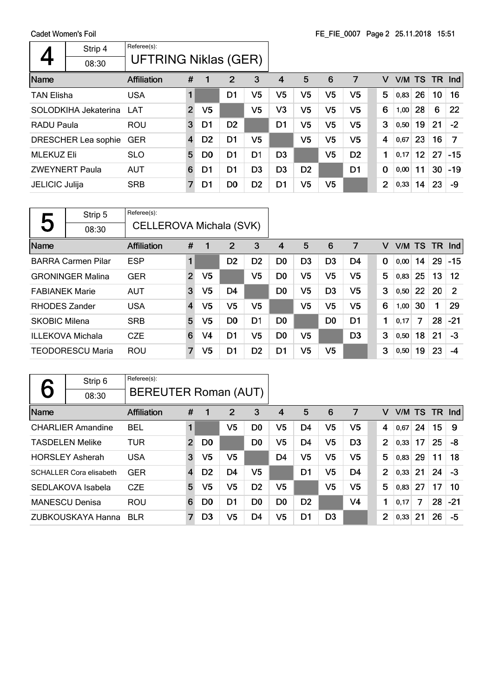|                       | Strip 4<br>08:30     | Referee(s):<br>UFTRING Niklas (GER) |                |                |                |                |                |                |                |                |             |           |                 |    |       |
|-----------------------|----------------------|-------------------------------------|----------------|----------------|----------------|----------------|----------------|----------------|----------------|----------------|-------------|-----------|-----------------|----|-------|
| Name                  |                      | <b>Affiliation</b>                  | #              | 1              | 2              | 3              | 4              | 5              | 6              | 7              | v           | V/M TS TR |                 |    | Ind   |
| <b>TAN Elisha</b>     |                      | <b>USA</b>                          | 1              |                | D1             | V5             | V <sub>5</sub> | V <sub>5</sub> | V <sub>5</sub> | V <sub>5</sub> | 5           | 0,83      | 26              | 10 | 16    |
|                       | SOLODKIHA Jekaterina | LAT                                 | $\overline{2}$ | V <sub>5</sub> |                | V <sub>5</sub> | V <sub>3</sub> | V <sub>5</sub> | V <sub>5</sub> | V <sub>5</sub> | 6           | 1,00      | 28              | 6  | 22    |
| <b>RADU Paula</b>     |                      | ROU                                 | 3              | D1             | D <sub>2</sub> |                | D1             | V <sub>5</sub> | V <sub>5</sub> | V <sub>5</sub> | 3           | 0,50      | 19              | 21 | $-2$  |
|                       | DRESCHER Lea sophie  | <b>GER</b>                          | $\overline{4}$ | D <sub>2</sub> | D <sub>1</sub> | V5             |                | V <sub>5</sub> | V <sub>5</sub> | V <sub>5</sub> | 4           | 0,67      | 23              | 16 | 7     |
| <b>MLEKUZ Eli</b>     |                      | <b>SLO</b>                          | 5              | D <sub>0</sub> | D <sub>1</sub> | D <sub>1</sub> | D <sub>3</sub> |                | V5             | D <sub>2</sub> | 1           | 0,17      | 12 <sup>°</sup> | 27 | $-15$ |
| <b>ZWEYNERT Paula</b> |                      | <b>AUT</b>                          | 6              | D1             | D <sub>1</sub> | D <sub>3</sub> | D <sub>3</sub> | D <sub>2</sub> |                | D1             | $\mathbf 0$ | 0,00      | 11              | 30 | $-19$ |
| <b>JELICIC Julija</b> |                      | <b>SRB</b>                          | 7              | D1             | D <sub>0</sub> | D <sub>2</sub> | D <sub>1</sub> | V5             | V5             |                | 2           | 0,33      | 14              | 23 | -9    |

|                       | Strip 5                   | Referee(s):             |                |                |                |                |                |                |                |    |             |        |    |      |       |
|-----------------------|---------------------------|-------------------------|----------------|----------------|----------------|----------------|----------------|----------------|----------------|----|-------------|--------|----|------|-------|
| J                     | 08:30                     | CELLEROVA Michala (SVK) |                |                |                |                |                |                |                |    |             |        |    |      |       |
| Name                  |                           | <b>Affiliation</b>      | #              | 1              | 2              | 3              | 4              | 5              | 6              | 7  | v           | V/M TS |    | - TR | Ind   |
|                       | <b>BARRA Carmen Pilar</b> | <b>ESP</b>              | 1              |                | D <sub>2</sub> | D <sub>2</sub> | D <sub>0</sub> | D <sub>3</sub> | D <sub>3</sub> | D4 | $\mathbf 0$ | 0,00   | 14 | 29   | $-15$ |
|                       | <b>GRONINGER Malina</b>   | <b>GER</b>              | $\overline{2}$ | V <sub>5</sub> |                | V5             | D0             | V5             | V <sub>5</sub> | V5 | 5           | 0,83   | 25 | 13   | 12    |
| <b>FABIANEK Marie</b> |                           | <b>AUT</b>              | 3              | V5             | D4             |                | D <sub>0</sub> | V5             | D <sub>3</sub> | V5 | 3           | 0,50   | 22 | 20   | 2     |
| <b>RHODES Zander</b>  |                           | <b>USA</b>              | 4              | V5             | V5             | V5             |                | V5             | V5             | V5 | 6           | 1,00   | 30 | 1    | 29    |
| <b>SKOBIC Milena</b>  |                           | <b>SRB</b>              | 5              | V5             | D <sub>0</sub> | D <sub>1</sub> | D <sub>0</sub> |                | D <sub>0</sub> | D1 | 1           | 0,17   | 7  | 28   | $-21$ |
|                       | <b>ILLEKOVA Michala</b>   | <b>CZE</b>              | 6              | V <sub>4</sub> | D1             | V5             | D <sub>0</sub> | V5             |                | D3 | 3           | 0,50   | 18 | 21   | -3    |
|                       | <b>TEODORESCU Maria</b>   | <b>ROU</b>              | $\overline{7}$ | V5             | D <sub>1</sub> | D <sub>2</sub> | D1             | V5             | V <sub>5</sub> |    | 3           | 0,50   | 19 | 23   | -4    |

|      | Strip 6                        | Referee(s):                 |                |                |                |                |                |                |                |                |                |      |           |     |       |
|------|--------------------------------|-----------------------------|----------------|----------------|----------------|----------------|----------------|----------------|----------------|----------------|----------------|------|-----------|-----|-------|
|      | 08:30                          | <b>BEREUTER Roman (AUT)</b> |                |                |                |                |                |                |                |                |                |      |           |     |       |
| Name |                                | <b>Affiliation</b>          | #              | 1              | 2              | 3              | 4              | 5              | 6              | 7              | v              | V/M  | <b>TS</b> | TR. | Ind   |
|      | <b>CHARLIER Amandine</b>       | <b>BEL</b>                  | 1              |                | V5             | D <sub>0</sub> | V5             | D4             | V <sub>5</sub> | V5             | 4              | 0,67 | 24        | 15  | 9     |
|      | <b>TASDELEN Melike</b>         | TUR                         | $\overline{2}$ | D <sub>0</sub> |                | D <sub>0</sub> | V <sub>5</sub> | D <sub>4</sub> | V <sub>5</sub> | D <sub>3</sub> | $\overline{2}$ | 0,33 | 17        | 25  | -8    |
|      | <b>HORSLEY Asherah</b>         | <b>USA</b>                  | 3              | V5             | V <sub>5</sub> |                | D <sub>4</sub> | V <sub>5</sub> | V <sub>5</sub> | V5             | 5              | 0,83 | 29        | 11  | 18    |
|      | <b>SCHALLER Cora elisabeth</b> | <b>GER</b>                  | 4              | D <sub>2</sub> | D4             | V5             |                | D1             | V5             | D4             | $\overline{2}$ | 0,33 | 21        | 24  | -3    |
|      | SEDLAKOVA Isabela              | <b>CZE</b>                  | 5              | V5             | V <sub>5</sub> | D <sub>2</sub> | V5             |                | V <sub>5</sub> | V <sub>5</sub> | 5              | 0,83 | 27        | 17  | 10    |
|      | <b>MANESCU Denisa</b>          | <b>ROU</b>                  | 6              | D <sub>0</sub> | D <sub>1</sub> | D <sub>0</sub> | D <sub>0</sub> | D <sub>2</sub> |                | V4             | 1              | 0,17 | 7         | 28  | $-21$ |
|      | ZUBKOUSKAYA Hanna              | <b>BLR</b>                  | 7              | D <sub>3</sub> | V5             | D4             | V5             | D1             | D <sub>3</sub> |                | 2              | 0,33 | 21        | 26  | -5    |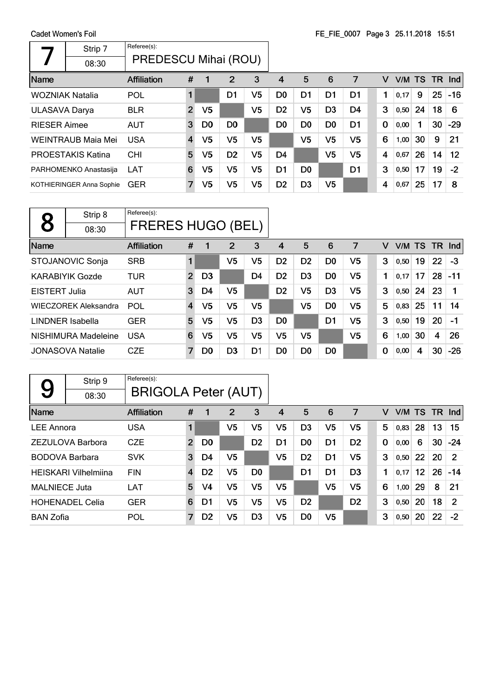Cadet Women's Foil  $\overline{\phantom{a}}$ 

 $\mathsf{r}$ 

|                      | oduct womens rom         |                      |                         |                |                |    |                |                |                | $1 - 1$ 12 0007 1 ago 0 20.11.2010 10.01 |             |      |           |      |                      |
|----------------------|--------------------------|----------------------|-------------------------|----------------|----------------|----|----------------|----------------|----------------|------------------------------------------|-------------|------|-----------|------|----------------------|
|                      | Strip 7                  | Referee(s):          |                         |                |                |    |                |                |                |                                          |             |      |           |      |                      |
|                      | 08:30                    | PREDESCU Mihai (ROU) |                         |                |                |    |                |                |                |                                          |             |      |           |      |                      |
| Name                 |                          | <b>Affiliation</b>   | #                       | 1              | 2              | 3  | $\overline{4}$ | 5              | 6              | 7                                        | v           | V/M  | <b>TS</b> | -TR- | $\lfloor nd \rfloor$ |
|                      | <b>WOZNIAK Natalia</b>   | <b>POL</b>           | 1                       |                | D1             | V5 | D0             | D1             | D1             | D1                                       | 1           | 0,17 | 9         | 25   | $-16$                |
| <b>ULASAVA Darya</b> |                          | <b>BLR</b>           | $\overline{2}$          | V <sub>5</sub> |                | V5 | D <sub>2</sub> | V5             | D <sub>3</sub> | D4                                       | 3           | 0,50 | 24        | 18   | 6                    |
| <b>RIESER Aimee</b>  |                          | <b>AUT</b>           | 3                       | D <sub>0</sub> | D <sub>0</sub> |    | D <sub>0</sub> | D0             | D <sub>0</sub> | D <sub>1</sub>                           | $\mathbf 0$ | 0,00 |           | 30   | $-29$                |
|                      | WEINTRAUB Maia Mei       | <b>USA</b>           | $\overline{\mathbf{4}}$ | V5             | V <sub>5</sub> | V5 |                | V5             | V <sub>5</sub> | V5                                       | 6           | 1,00 | 30        | 9    | 21                   |
|                      | PROESTAKIS Katina        | <b>CHI</b>           | 5                       | V5             | D <sub>2</sub> | V5 | D4             |                | V <sub>5</sub> | V <sub>5</sub>                           | 4           | 0,67 | 26        | 14   | $12 \overline{ }$    |
|                      | PARHOMENKO Anastasija    | <b>LAT</b>           | 6                       | V5             | V <sub>5</sub> | V5 | D1             | D <sub>0</sub> |                | D1                                       | 3           | 0,50 | 17        | 19   | $-2$                 |
|                      | KOTHIERINGER Anna Sophie | <b>GER</b>           | 7                       | V <sub>5</sub> | V <sub>5</sub> | V5 | D <sub>2</sub> | D <sub>3</sub> | V <sub>5</sub> |                                          | 4           | 0,67 | 25        | 17   | 8                    |
|                      |                          |                      |                         |                |                |    |                |                |                |                                          |             |      |           |      |                      |

|                         | Strip 8                     | Referee(s):              |                |                |                |                |                |                |                |    |   |      |    |                         |       |
|-------------------------|-----------------------------|--------------------------|----------------|----------------|----------------|----------------|----------------|----------------|----------------|----|---|------|----|-------------------------|-------|
|                         | 08:30                       | <b>FRERES HUGO (BEL)</b> |                |                |                |                |                |                |                |    |   |      |    |                         |       |
| Name                    |                             | <b>Affiliation</b>       | #              | 1              | 2              | 3              | 4              | 5              | 6              | 7  | v | V/M  | TS | TR Ind                  |       |
|                         | STOJANOVIC Sonja            | <b>SRB</b>               |                |                | V5             | V5             | D <sub>2</sub> | D <sub>2</sub> | D <sub>0</sub> | V5 | 3 | 0,50 | 19 | 22                      | $-3$  |
|                         | KARABIYIK Gozde             | <b>TUR</b>               | $\overline{2}$ | D <sub>3</sub> |                | D4             | D <sub>2</sub> | D <sub>3</sub> | D <sub>0</sub> | V5 | 1 | 0.17 | 17 | 28                      | $-11$ |
| <b>EISTERT Julia</b>    |                             | <b>AUT</b>               | 3              | D4             | V5             |                | D <sub>2</sub> | V5             | D <sub>3</sub> | V5 | 3 | 0,50 | 24 | 23                      |       |
|                         | <b>WIECZOREK Aleksandra</b> | POL                      | 4              | V5             | V5             | V5             |                | V5             | D <sub>0</sub> | V5 | 5 | 0,83 | 25 | 11                      | 14    |
| <b>LINDNER Isabella</b> |                             | <b>GER</b>               | 5              | V5             | V <sub>5</sub> | D <sub>3</sub> | D <sub>0</sub> |                | D <sub>1</sub> | V5 | 3 | 0,50 | 19 | 20                      | $-1$  |
|                         | NISHIMURA Madeleine         | <b>USA</b>               | 6              | V5             | V <sub>5</sub> | V5             | V5             | V5             |                | V5 | 6 | 1,00 | 30 | $\overline{\mathbf{4}}$ | 26    |
|                         | <b>JONASOVA Natalie</b>     | <b>CZE</b>               | 7              | D <sub>0</sub> | D <sub>3</sub> | D1             | D <sub>0</sub> | D <sub>0</sub> | D <sub>0</sub> |    | 0 | 0,00 | 4  | 30                      | $-26$ |

|                       | Strip 9                     | Referee(s):                |                |                |                |                |                |                |                |                |             |      |                 |     |            |
|-----------------------|-----------------------------|----------------------------|----------------|----------------|----------------|----------------|----------------|----------------|----------------|----------------|-------------|------|-----------------|-----|------------|
| 9                     | 08:30                       | <b>BRIGOLA Peter (AUT)</b> |                |                |                |                |                |                |                |                |             |      |                 |     |            |
| Name                  |                             | <b>Affiliation</b>         | #              |                | 2              | 3              | 4              | 5              | 6              | 7              | v           | V/M  | <b>TS</b>       | TR. | <b>Ind</b> |
| <b>LEE Annora</b>     |                             | <b>USA</b>                 | $\blacksquare$ |                | V5             | V <sub>5</sub> | V <sub>5</sub> | D <sub>3</sub> | V <sub>5</sub> | V <sub>5</sub> | 5           | 0,83 | 28              | 13  | 15         |
|                       | ZEZULOVA Barbora            | <b>CZE</b>                 | $\overline{2}$ | D <sub>0</sub> |                | D <sub>2</sub> | D1             | D <sub>0</sub> | D1             | D <sub>2</sub> | $\mathbf 0$ | 0,00 | 6               | 30  | $-24$      |
| <b>BODOVA Barbara</b> |                             | <b>SVK</b>                 | 3              | D4             | V <sub>5</sub> |                | V <sub>5</sub> | D <sub>2</sub> | D1             | V5             | 3           | 0,50 | 22              | 20  | 2          |
|                       | <b>HEISKARI Vilhelmiina</b> | <b>FIN</b>                 | $\overline{4}$ | D <sub>2</sub> | V <sub>5</sub> | D <sub>0</sub> |                | D <sub>1</sub> | D1             | D <sub>3</sub> | 1           | 0.17 | 12 <sub>2</sub> | 26  | $-14$      |
| MALNIECE Juta         |                             | LAT                        | 5              | V <sub>4</sub> | V <sub>5</sub> | V <sub>5</sub> | V5             |                | V <sub>5</sub> | V <sub>5</sub> | 6           | 1,00 | 29              | 8   | 21         |
|                       | <b>HOHENADEL Celia</b>      | <b>GER</b>                 | 6              | D1             | V5             | V5             | V5             | D <sub>2</sub> |                | D <sub>2</sub> | 3           | 0,50 | 20              | 18  | 2          |
| <b>BAN Zofia</b>      |                             | POL                        | $\overline{7}$ | D <sub>2</sub> | V5             | D <sub>3</sub> | V5             | D <sub>0</sub> | V5             |                | 3           | 0,50 | 20              | 22  | $-2$       |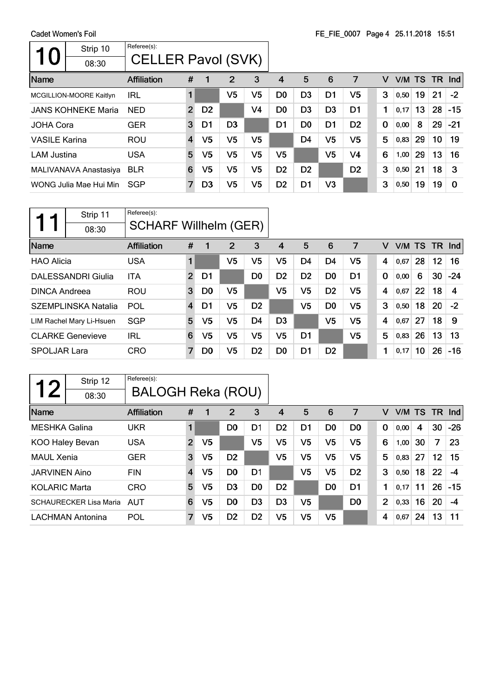| Strip 10<br>U<br>08:30    | Referee(s):<br><b>CELLER Pavol (SVK)</b> |                |                |                |                |                |                |                |                |          |           |    |    |            |
|---------------------------|------------------------------------------|----------------|----------------|----------------|----------------|----------------|----------------|----------------|----------------|----------|-----------|----|----|------------|
| <b>Name</b>               | Affiliation                              | #              |                | $\overline{2}$ | 3              | 4              | 5              | 6              | 7              | v        | V/M TS TR |    |    | <b>Ind</b> |
| MCGILLION-MOORE Kaitlyn   | IRL                                      | 1              |                | V5             | V5             | D <sub>0</sub> | D <sub>3</sub> | D <sub>1</sub> | V5             | 3        | 0,50      | 19 | 21 | $-2$       |
| <b>JANS KOHNEKE Maria</b> | <b>NED</b>                               | $\overline{2}$ | D <sub>2</sub> |                | V4             | D <sub>0</sub> | D <sub>3</sub> | D <sub>3</sub> | D <sub>1</sub> | 1        | 0,17      | 13 | 28 | $-15$      |
| <b>JOHA Cora</b>          | <b>GER</b>                               | 3              | D1             | D <sub>3</sub> |                | D1             | D0             | D1             | D <sub>2</sub> | $\bf{0}$ | 0,00      | 8  | 29 | $-21$      |
| <b>VASILE Karina</b>      | <b>ROU</b>                               | $\overline{4}$ | V5             | V <sub>5</sub> | V5             |                | D <sub>4</sub> | V <sub>5</sub> | V5             | 5        | 0,83      | 29 | 10 | 19         |
| <b>LAM Justina</b>        | <b>USA</b>                               | 5              | V5             | V5             | V5             | V5             |                | V5             | V4             | 6        | 1,00      | 29 | 13 | 16         |
| MALIVANAVA Anastasiya     | <b>BLR</b>                               | 6              | V5             | V5             | V <sub>5</sub> | D <sub>2</sub> | D <sub>2</sub> |                | D <sub>2</sub> | 3        | 0,50      | 21 | 18 | 3          |
| WONG Julia Mae Hui Min    | SGP                                      | 7              | D <sub>3</sub> | V5             | V5             | D <sub>2</sub> | D1             | V3             |                | 3        | 0,50      | 19 | 19 | 0          |

|                      | Strip 11                   | Referee(s):                  |                |                |                |                |                |                |                |                |   |        |    |     |       |
|----------------------|----------------------------|------------------------------|----------------|----------------|----------------|----------------|----------------|----------------|----------------|----------------|---|--------|----|-----|-------|
|                      | 08:30                      | <b>SCHARF Willhelm (GER)</b> |                |                |                |                |                |                |                |                |   |        |    |     |       |
| Name                 |                            | <b>Affiliation</b>           | #              |                | 2              | 3              | 4              | 5              | 6              | 7              | v | V/M TS |    | TR. | Ind   |
| <b>HAO Alicia</b>    |                            | <b>USA</b>                   | 1              |                | V5             | V5             | V5             | D <sub>4</sub> | D4             | V5             | 4 | 0,67   | 28 | 12  | 16    |
|                      | DALESSANDRI Giulia         | <b>ITA</b>                   | $\overline{2}$ | D1             |                | D <sub>0</sub> | D <sub>2</sub> | D <sub>2</sub> | D <sub>0</sub> | D1             | 0 | 0,00   | 6  | 30  | $-24$ |
| <b>DINCA Andreea</b> |                            | <b>ROU</b>                   | 3              | D <sub>0</sub> | V5             |                | V5             | V5             | D <sub>2</sub> | V5             | 4 | 0,67   | 22 | 18  | 4     |
|                      | <b>SZEMPLINSKA Natalia</b> | POL                          | $\overline{4}$ | D1             | V5             | D <sub>2</sub> |                | V5             | D <sub>0</sub> | V5             | 3 | 0,50   | 18 | 20  | $-2$  |
|                      | LIM Rachel Mary Li-Hsuen   | <b>SGP</b>                   | 5              | V5             | V <sub>5</sub> | D <sub>4</sub> | D <sub>3</sub> |                | V <sub>5</sub> | V <sub>5</sub> | 4 | 0.67   | 27 | 18  | 9     |
|                      | <b>CLARKE Genevieve</b>    | IRL                          | 6              | V5             | V5             | V5             | V5             | D <sub>1</sub> |                | V <sub>5</sub> | 5 | 0,83   | 26 | 13  | 13    |
| <b>SPOLJAR Lara</b>  |                            | <b>CRO</b>                   | 7              | D <sub>0</sub> | V5             | D <sub>2</sub> | D <sub>0</sub> | D <sub>1</sub> | D <sub>2</sub> |                | 1 | 0,17   | 10 | 26  | $-16$ |

| 1 つ                  | Strip 12                      | Referee(s):<br><b>BALOGH Reka (ROU)</b> |                |                |                |                |                |                |                |                |             |           |    |    |                      |
|----------------------|-------------------------------|-----------------------------------------|----------------|----------------|----------------|----------------|----------------|----------------|----------------|----------------|-------------|-----------|----|----|----------------------|
|                      | 08:30                         |                                         |                |                |                |                |                |                |                |                |             |           |    |    |                      |
| Name                 |                               | Affiliation                             | #              | 1              | 2              | 3              | 4              | 5              | 6              | 7              | v           | V/M TS TR |    |    | $\lfloor nd \rfloor$ |
| <b>MESHKA Galina</b> |                               | UKR                                     |                |                | D <sub>0</sub> | D1             | D <sub>2</sub> | D1             | D <sub>0</sub> | D <sub>0</sub> | $\mathbf 0$ | 0,00      | 4  | 30 | $-26$                |
| KOO Haley Bevan      |                               | <b>USA</b>                              | $\overline{2}$ | V <sub>5</sub> |                | V5             | V <sub>5</sub> | V <sub>5</sub> | V <sub>5</sub> | V <sub>5</sub> | 6           | 1,00      | 30 | 7  | 23                   |
| <b>MAUL Xenia</b>    |                               | <b>GER</b>                              | 3              | V5             | D <sub>2</sub> |                | V5             | V <sub>5</sub> | V <sub>5</sub> | V <sub>5</sub> | 5           | 0,83      | 27 | 12 | 15                   |
| <b>JARVINEN Aino</b> |                               | <b>FIN</b>                              | $\overline{4}$ | V5             | D <sub>0</sub> | D <sub>1</sub> |                | V <sub>5</sub> | V <sub>5</sub> | D <sub>2</sub> | 3           | 0,50      | 18 | 22 | -4                   |
| <b>KOLARIC Marta</b> |                               | <b>CRO</b>                              | 5              | V <sub>5</sub> | D <sub>3</sub> | D <sub>0</sub> | D <sub>2</sub> |                | D <sub>0</sub> | D <sub>1</sub> | 1           | 0.17      | 11 | 26 | $-15$                |
|                      | <b>SCHAURECKER Lisa Maria</b> | AUT                                     | 6              | V <sub>5</sub> | D <sub>0</sub> | D <sub>3</sub> | D <sub>3</sub> | V5             |                | D <sub>0</sub> | 2           | 0,33      | 16 | 20 | -4                   |
|                      | <b>LACHMAN Antonina</b>       | <b>POL</b>                              | 7              | V <sub>5</sub> | D <sub>2</sub> | D <sub>2</sub> | V <sub>5</sub> | V <sub>5</sub> | V <sub>5</sub> |                | 4           | 0,67      | 24 | 13 | 11                   |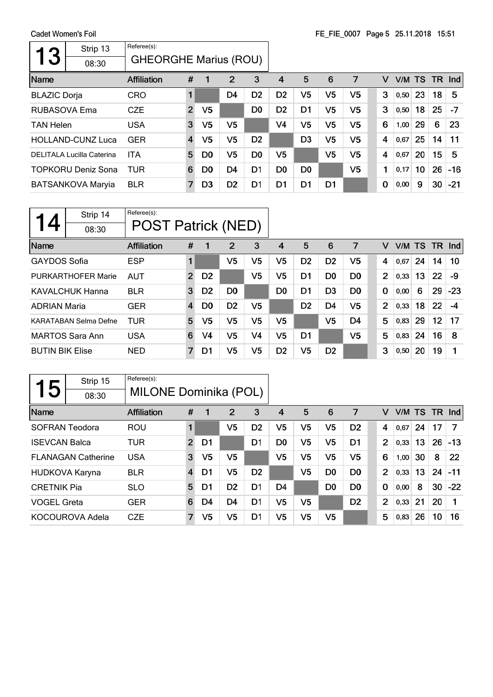Cadet Women's Foil  $\overline{\phantom{a}}$ 

 $\mathsf{r}$ 

| 3                   | Strip 13<br>08:30                | Referee(s):<br><b>GHEORGHE Marius (ROU)</b> |                         |                |                |                |                |                |                |                |   |   |        |    |        |       |
|---------------------|----------------------------------|---------------------------------------------|-------------------------|----------------|----------------|----------------|----------------|----------------|----------------|----------------|---|---|--------|----|--------|-------|
| Name                |                                  | Affiliation                                 | #                       | 1              | 2              | 3              | 4              | 5              | 6              | 7              |   | v | V/M TS |    | TR Ind |       |
| <b>BLAZIC Dorja</b> |                                  | <b>CRO</b>                                  |                         |                | D <sub>4</sub> | D <sub>2</sub> | D <sub>2</sub> | V <sub>5</sub> | V <sub>5</sub> | V5             |   | 3 | 0,50   | 23 | 18     | 5     |
| RUBASOVA Ema        |                                  | <b>CZE</b>                                  | $\overline{2}$          | V <sub>5</sub> |                | D <sub>0</sub> | D <sub>2</sub> | D <sub>1</sub> | V <sub>5</sub> | V5             |   | 3 | 0,50   | 18 | 25     | $-7$  |
| <b>TAN Helen</b>    |                                  | <b>USA</b>                                  | 3                       | V <sub>5</sub> | V <sub>5</sub> |                | V4             | V <sub>5</sub> | V <sub>5</sub> | V <sub>5</sub> | 6 |   | 1,00   | 29 | 6      | 23    |
|                     | <b>HOLLAND-CUNZ Luca</b>         | <b>GER</b>                                  | $\overline{\mathbf{4}}$ | V5             | V5             | D <sub>2</sub> |                | D <sub>3</sub> | V <sub>5</sub> | V <sub>5</sub> | 4 |   | 0,67   | 25 | 14     | 11    |
|                     | <b>DELITALA Lucilla Caterina</b> | <b>ITA</b>                                  | 5                       | D <sub>0</sub> | V5             | D <sub>0</sub> | V5             |                | V <sub>5</sub> | V <sub>5</sub> | 4 |   | 0.67   | 20 | 15     | 5     |
|                     | <b>TOPKORU Deniz Sona</b>        | <b>TUR</b>                                  | 6                       | D <sub>0</sub> | D <sub>4</sub> | D1             | D <sub>0</sub> | D <sub>0</sub> |                | V <sub>5</sub> |   | 1 | 0,17   | 10 | 26     | $-16$ |
|                     | <b>BATSANKOVA Maryia</b>         | <b>BLR</b>                                  | 7                       | D3             | D <sub>2</sub> | D1             | D1             | D1             | D1             |                | 0 |   | 0,00   | 9  | 30     | $-21$ |

| Strip 14<br>08:30         | Referee(s):<br><b>POST Patrick (NED)</b> |                |                |                |                |                |                |                |                |                |   |      |    |     |       |
|---------------------------|------------------------------------------|----------------|----------------|----------------|----------------|----------------|----------------|----------------|----------------|----------------|---|------|----|-----|-------|
| Name                      | <b>Affiliation</b>                       | #              | 1              | 2              | 3              | 4              | 5              | 6              | 7              |                | V | V/M  | TS | TR. | -Ind  |
| <b>GAYDOS Sofia</b>       | <b>ESP</b>                               |                |                | V <sub>5</sub> | V5             | V5             | D <sub>2</sub> | D <sub>2</sub> | V <sub>5</sub> | 4              |   | 0,67 | 24 | 14  | 10    |
| <b>PURKARTHOFER Marie</b> | <b>AUT</b>                               | $\overline{2}$ | D <sub>2</sub> |                | V5             | V5             | D1             | D <sub>0</sub> | D <sub>0</sub> |                | 2 | 0,33 | 13 | 22  | -9    |
| <b>KAVALCHUK Hanna</b>    | <b>BLR</b>                               | 3              | D <sub>2</sub> | D <sub>0</sub> |                | D <sub>0</sub> | D <sub>1</sub> | D <sub>3</sub> | D <sub>0</sub> | $\bf{0}$       |   | 0,00 | 6  | 29  | $-23$ |
| <b>ADRIAN Maria</b>       | <b>GER</b>                               | $\overline{4}$ | D <sub>0</sub> | D <sub>2</sub> | V5             |                | D <sub>2</sub> | D4             | V <sub>5</sub> | $\overline{2}$ |   | 0,33 | 18 | 22  | -4    |
| KARATABAN Selma Defne     | TUR                                      | 5              | V5             | V <sub>5</sub> | V <sub>5</sub> | V5             |                | V <sub>5</sub> | D4             | 5              |   | 0,83 | 29 | 12  | 17    |
| <b>MARTOS Sara Ann</b>    | <b>USA</b>                               | 6              | V4             | V <sub>5</sub> | V4             | V <sub>5</sub> | D1             |                | V <sub>5</sub> | 5              |   | 0,83 | 24 | 16  | 8     |
| <b>BUTIN BIK Elise</b>    | <b>NED</b>                               | 7              | D1             | V5             | V5             | D <sub>2</sub> | V5             | D <sub>2</sub> |                | 3              |   | 0,50 | 20 | 19  |       |

|                      | Strip 15                  | Referee(s):           |                |    |                |                |                |                |                |                |                |        |    |     |       |
|----------------------|---------------------------|-----------------------|----------------|----|----------------|----------------|----------------|----------------|----------------|----------------|----------------|--------|----|-----|-------|
| 5                    | 08:30                     | MILONE Dominika (POL) |                |    |                |                |                |                |                |                |                |        |    |     |       |
| Name                 |                           | <b>Affiliation</b>    | #              | 1  | 2              | 3              | 4              | 5              | 6              | 7              | v              | V/M TS |    | TR. | Ind   |
| SOFRAN Teodora       |                           | <b>ROU</b>            | 1              |    | V <sub>5</sub> | D <sub>2</sub> | V5             | V <sub>5</sub> | V <sub>5</sub> | D <sub>2</sub> | 4              | 0,67   | 24 | 17  | -7    |
| <b>ISEVCAN Balca</b> |                           | TUR                   | $\overline{2}$ | D1 |                | D <sub>1</sub> | D <sub>0</sub> | V <sub>5</sub> | V <sub>5</sub> | D <sub>1</sub> | $\overline{2}$ | 0,33   | 13 | 26  | $-13$ |
|                      | <b>FLANAGAN Catherine</b> | <b>USA</b>            | 3              | V5 | V <sub>5</sub> |                | V <sub>5</sub> | V5             | V <sub>5</sub> | V5             | 6              | 1,00   | 30 | 8   | 22    |
|                      | HUDKOVA Karyna            | <b>BLR</b>            | $\overline{4}$ | D1 | V <sub>5</sub> | D <sub>2</sub> |                | V5             | D <sub>0</sub> | D <sub>0</sub> | $\overline{2}$ | 0,33   | 13 | 24  | $-11$ |
| <b>CRETNIK Pia</b>   |                           | <b>SLO</b>            | 5              | D1 | D <sub>2</sub> | D <sub>1</sub> | D <sub>4</sub> |                | D <sub>0</sub> | D <sub>0</sub> | $\mathbf 0$    | 0,00   | 8  | 30  | $-22$ |
| <b>VOGEL Greta</b>   |                           | <b>GER</b>            | 6              | D4 | D4             | D1             | V5             | V <sub>5</sub> |                | D <sub>2</sub> | $\overline{2}$ | 0,33   | 21 | 20  |       |
|                      | KOCOUROVA Adela           | <b>CZE</b>            | $\overline{7}$ | V5 | V <sub>5</sub> | D1             | V5             | V5             | V <sub>5</sub> |                | 5              | 0,83   | 26 | 10  | 16    |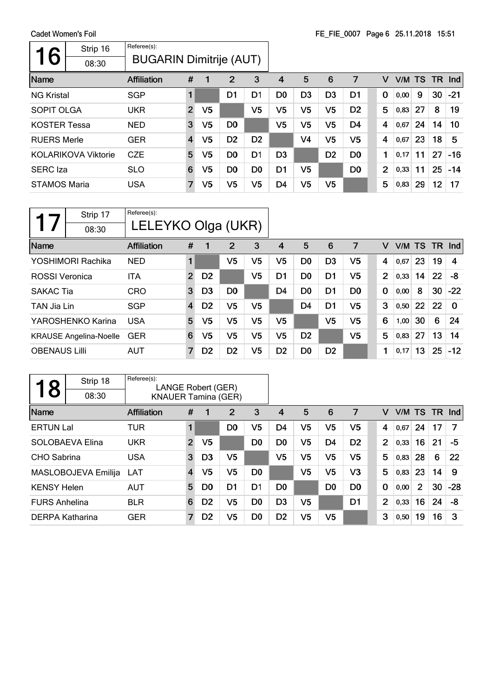$\mathsf{r}$ 

| oduct womens rom    |                            |                                |                |                |                |                |                |                |                | $1 - 1$ $-000$ , $1 - 000$ $-0.01$ . |                |      |           |     |               |
|---------------------|----------------------------|--------------------------------|----------------|----------------|----------------|----------------|----------------|----------------|----------------|--------------------------------------|----------------|------|-----------|-----|---------------|
|                     | Strip 16                   | Referee(s):                    |                |                |                |                |                |                |                |                                      |                |      |           |     |               |
| 6                   | 08:30                      | <b>BUGARIN Dimitrije (AUT)</b> |                |                |                |                |                |                |                |                                      |                |      |           |     |               |
| Name                |                            | <b>Affiliation</b>             | #              | 1              | 2              | 3              | 4              | 5              | 6              | 7                                    | v              | V/M  | <b>TS</b> | TR. | $\lfloor$ Ind |
| <b>NG Kristal</b>   |                            | <b>SGP</b>                     | 1              |                | D1             | D1             | D <sub>0</sub> | D <sub>3</sub> | D <sub>3</sub> | D1                                   | 0              | 0,00 | 9         | 30  | $-21$         |
| <b>SOPIT OLGA</b>   |                            | <b>UKR</b>                     | $\overline{2}$ | V <sub>5</sub> |                | V5             | V <sub>5</sub> | V <sub>5</sub> | V5             | D <sub>2</sub>                       | 5              | 0,83 | 27        | 8   | 19            |
| <b>KOSTER Tessa</b> |                            | <b>NED</b>                     | 3              | V5             | D <sub>0</sub> |                | V <sub>5</sub> | V <sub>5</sub> | V5             | D <sub>4</sub>                       | 4              | 0,67 | 24        | 14  | 10            |
| <b>RUERS Merle</b>  |                            | <b>GER</b>                     | $\overline{4}$ | V <sub>5</sub> | D <sub>2</sub> | D <sub>2</sub> |                | V4             | V <sub>5</sub> | V <sub>5</sub>                       | 4              | 0,67 | 23        | 18  | 5             |
|                     | <b>KOLARIKOVA Viktorie</b> | <b>CZE</b>                     | 5              | V <sub>5</sub> | D <sub>0</sub> | D <sub>1</sub> | D <sub>3</sub> |                | D <sub>2</sub> | D <sub>0</sub>                       | 1              | 0,17 | 11        | 27  | $-16$         |
| <b>SERC</b> Iza     |                            | <b>SLO</b>                     | 6              | V <sub>5</sub> | D <sub>0</sub> | D <sub>0</sub> | D1             | V5             |                | D <sub>0</sub>                       | $\overline{2}$ | 0,33 | 11        | 25  | $-14$         |
| <b>STAMOS Maria</b> |                            | <b>USA</b>                     | $\overline{7}$ | V <sub>5</sub> | V <sub>5</sub> | V5             | D4             | V5             | V <sub>5</sub> |                                      | 5              | 0,83 | 29        | 12  | 17            |

| Strip 17<br>08:30             | Referee(s):<br>LELEYKO Olga (UKR) |                |                |                |                |                |                |                |                |          |      |    |        |          |
|-------------------------------|-----------------------------------|----------------|----------------|----------------|----------------|----------------|----------------|----------------|----------------|----------|------|----|--------|----------|
| Name                          | <b>Affiliation</b>                | #              | 1              | 2              | 3              | 4              | 5              | 6              | 7              | v        | V/M  | TS | TR Ind |          |
| YOSHIMORI Rachika             | <b>NED</b>                        |                |                | V5             | V <sub>5</sub> | V5             | D <sub>0</sub> | D <sub>3</sub> | V5             | 4        | 0,67 | 23 | 19     | 4        |
| <b>ROSSI</b> Veronica         | <b>ITA</b>                        | $\overline{2}$ | D <sub>2</sub> |                | V5             | D <sub>1</sub> | D <sub>0</sub> | D <sub>1</sub> | V <sub>5</sub> | 2        | 0,33 | 14 | 22     | -8       |
| <b>SAKAC Tia</b>              | <b>CRO</b>                        | 3              | D <sub>3</sub> | D <sub>0</sub> |                | D <sub>4</sub> | D0             | D <sub>1</sub> | D <sub>0</sub> | $\bf{0}$ | 0,00 | 8  | 30     | $-22$    |
| TAN Jia Lin                   | <b>SGP</b>                        | 4              | D <sub>2</sub> | V <sub>5</sub> | V5             |                | D4             | D <sub>1</sub> | V5             | 3        | 0,50 | 22 | 22     | $\Omega$ |
| YAROSHENKO Karina             | <b>USA</b>                        | 5              | V5             | V5             | V5             | V5             |                | V5             | V <sub>5</sub> | 6        | 1,00 | 30 | 6      | 24       |
| <b>KRAUSE Angelina-Noelle</b> | <b>GER</b>                        | 6              | V5             | V5             | V5             | V5             | D <sub>2</sub> |                | V5             | 5        | 0,83 | 27 | 13     | 14       |
| <b>OBENAUS Lilli</b>          | <b>AUT</b>                        | 7              | D <sub>2</sub> | D <sub>2</sub> | V <sub>5</sub> | D <sub>2</sub> | D <sub>0</sub> | D <sub>2</sub> |                | 1        | 0,17 | 13 | 25     | $-12$    |

| 8                    | Strip 18            | Referee(s):<br>LANGE Robert (GER) |                |                |                |                |                |                |                |                |             |                |      |                |     |       |
|----------------------|---------------------|-----------------------------------|----------------|----------------|----------------|----------------|----------------|----------------|----------------|----------------|-------------|----------------|------|----------------|-----|-------|
|                      | 08:30               | <b>KNAUER Tamina (GER)</b>        |                |                |                |                |                |                |                |                |             |                |      |                |     |       |
| Name                 |                     | <b>Affiliation</b>                | #              |                | 2              | 3              | 4              | 5              | 6              | 7              |             | v              | V/M  | <b>TS</b>      | TR. | nd    |
| <b>ERTUN Lal</b>     |                     | TUR                               | 1              |                | D <sub>0</sub> | V5             | D <sub>4</sub> | V <sub>5</sub> | V <sub>5</sub> | V <sub>5</sub> |             | 4              | 0,67 | 24             | 17  | 7     |
|                      | SOLOBAEVA Elina     | <b>UKR</b>                        | $\overline{2}$ | V <sub>5</sub> |                | D <sub>0</sub> | D <sub>0</sub> | V <sub>5</sub> | D <sub>4</sub> | D <sub>2</sub> |             | $\overline{2}$ | 0,33 | 16             | 21  | -5    |
| <b>CHO</b> Sabrina   |                     | <b>USA</b>                        | 3              | D <sub>3</sub> | V <sub>5</sub> |                | V <sub>5</sub> | V <sub>5</sub> | V <sub>5</sub> | V <sub>5</sub> |             | 5              | 0,83 | 28             | 6   | 22    |
|                      | MASLOBOJEVA Emilija | LAT                               | 4              | V <sub>5</sub> | V <sub>5</sub> | D <sub>0</sub> |                | V <sub>5</sub> | V <sub>5</sub> | V <sub>3</sub> |             | 5              | 0,83 | 23             | 14  | 9     |
| <b>KENSY Helen</b>   |                     | <b>AUT</b>                        | 5              | D <sub>0</sub> | D <sub>1</sub> | D <sub>1</sub> | D <sub>0</sub> |                | D <sub>0</sub> | D <sub>0</sub> | $\mathbf 0$ |                | 0,00 | $\overline{2}$ | 30  | $-28$ |
| <b>FURS Anhelina</b> |                     | <b>BLR</b>                        | 6              | D <sub>2</sub> | V5             | D <sub>0</sub> | D3             | V <sub>5</sub> |                | D1             |             | $\overline{2}$ | 0,33 | 16             | 24  | -8    |
| DERPA Katharina      |                     | <b>GER</b>                        | $\overline{7}$ | D <sub>2</sub> | V5             | D <sub>0</sub> | D <sub>2</sub> | V5             | V <sub>5</sub> |                |             | 3              | 0,50 | 19             | 16  | 3     |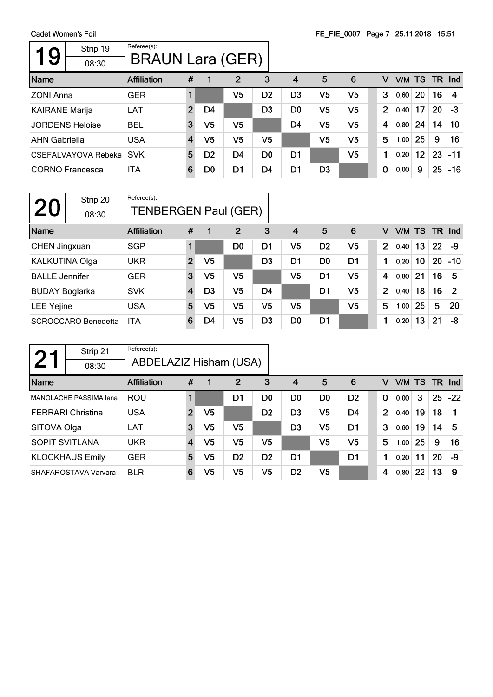| Strip 19<br>9<br>08:30 | Referee(s):<br><b>BRAUN Lara (GER)</b> |                         |                |                |                |                |                |                |                |        |    |    |        |
|------------------------|----------------------------------------|-------------------------|----------------|----------------|----------------|----------------|----------------|----------------|----------------|--------|----|----|--------|
| Name                   | Affiliation                            | #                       |                | 2              | 3              | 4              | 5              | 6              | v              | V/M TS |    |    | TR Ind |
| <b>ZONI Anna</b>       | <b>GER</b>                             |                         |                | V5             | D <sub>2</sub> | D <sub>3</sub> | V5             | V <sub>5</sub> | 3              | 0,60   | 20 | 16 | 4      |
| <b>KAIRANE Marija</b>  | <b>LAT</b>                             | $\overline{2}$          | D4             |                | D <sub>3</sub> | D <sub>0</sub> | V <sub>5</sub> | V <sub>5</sub> | $\overline{2}$ | 0,40   | 17 | 20 | -3     |
| <b>JORDENS Heloise</b> | <b>BEL</b>                             | 3                       | V5             | V <sub>5</sub> |                | D <sub>4</sub> | V <sub>5</sub> | V <sub>5</sub> | 4              | 0,80   | 24 | 14 | 10     |
| <b>AHN Gabriella</b>   | <b>USA</b>                             | $\overline{\mathbf{4}}$ | V5             | V <sub>5</sub> | V5             |                | V <sub>5</sub> | V <sub>5</sub> | 5              | 1,00   | 25 | 9  | 16     |
| CSEFALVAYOVA Rebeka    | <b>SVK</b>                             | 5                       | D <sub>2</sub> | D4             | D <sub>0</sub> | D1             |                | V <sub>5</sub> | 1              | 0,20   | 12 | 23 | $-11$  |
| <b>CORNO</b> Francesca | <b>ITA</b>                             | 6                       | D <sub>0</sub> | D1             | D4             | D1             | D <sub>3</sub> |                | 0              | 0,00   | 9  | 25 | $-16$  |

| 20                    | Strip 20<br>08:30          | Referee(s):<br><b>TENBERGEN Paul (GER)</b> |                         |                |                |                |                |                |                |                |        |    |     |                |
|-----------------------|----------------------------|--------------------------------------------|-------------------------|----------------|----------------|----------------|----------------|----------------|----------------|----------------|--------|----|-----|----------------|
| Name                  |                            | <b>Affiliation</b>                         | #                       |                | $\overline{2}$ | 3              | $\overline{4}$ | 5              | 6              | v              | V/M TS |    | TR. | <b>Ind</b>     |
| CHEN Jingxuan         |                            | <b>SGP</b>                                 |                         |                | D <sub>0</sub> | D1             | V <sub>5</sub> | D <sub>2</sub> | V <sub>5</sub> | $\overline{2}$ | 0,40   | 13 | 22  | -9             |
| KALKUTINA Olga        |                            | <b>UKR</b>                                 | $\overline{2}$          | V <sub>5</sub> |                | D <sub>3</sub> | D1             | D <sub>0</sub> | D <sub>1</sub> | 1              | 0,20   | 10 | 20  | $-10$          |
| <b>BALLE</b> Jennifer |                            | <b>GER</b>                                 | 3                       | V <sub>5</sub> | V <sub>5</sub> |                | V5             | D <sub>1</sub> | V <sub>5</sub> | 4              | 0,80   | 21 | 16  | 5              |
| <b>BUDAY Boglarka</b> |                            | <b>SVK</b>                                 | $\overline{\mathbf{4}}$ | D <sub>3</sub> | V <sub>5</sub> | D <sub>4</sub> |                | D <sub>1</sub> | V <sub>5</sub> | $\overline{2}$ | 0,40   | 18 | 16  | $\overline{2}$ |
| <b>LEE Yejine</b>     |                            | <b>USA</b>                                 | 5                       | V5             | V <sub>5</sub> | V5             | V <sub>5</sub> |                | V <sub>5</sub> | 5              | 1,00   | 25 | 5   | 20             |
|                       | <b>SCROCCARO Benedetta</b> | <b>ITA</b>                                 | 6                       | D4             | V <sub>5</sub> | D <sub>3</sub> | D <sub>0</sub> | D <sub>1</sub> |                | 1              | 0,20   | 13 | 21  | -8             |

|                       | Strip 21                 | Referee(s):            |                         |                |                |                |                |                |                |                |      |        |        |       |
|-----------------------|--------------------------|------------------------|-------------------------|----------------|----------------|----------------|----------------|----------------|----------------|----------------|------|--------|--------|-------|
|                       | 08:30                    | ABDELAZIZ Hisham (USA) |                         |                |                |                |                |                |                |                |      |        |        |       |
| Name                  |                          | <b>Affiliation</b>     | #                       |                | $\overline{2}$ | 3              | 4              | 5              | 6              | v              |      | V/M TS | TR Ind |       |
|                       | MANOLACHE PASSIMA Iana   | <b>ROU</b>             |                         |                | D1             | D0             | D <sub>0</sub> | D <sub>0</sub> | D <sub>2</sub> | $\bf{0}$       | 0,00 | 3      | 25     | $-22$ |
|                       | <b>FERRARI</b> Christina | <b>USA</b>             | $\overline{2}$          | V <sub>5</sub> |                | D <sub>2</sub> | D <sub>3</sub> | V5             | D4             | $\overline{2}$ | 0,40 | 19     | 18     |       |
| SITOVA Olga           |                          | <b>LAT</b>             | 3                       | V5             | V5             |                | D <sub>3</sub> | V5             | D1             | 3              | 0,60 | 19     | 14     | 5     |
| <b>SOPIT SVITLANA</b> |                          | <b>UKR</b>             | $\overline{\mathbf{4}}$ | V5             | V <sub>5</sub> | V5             |                | V <sub>5</sub> | V <sub>5</sub> | 5              | 1,00 | 25     | 9      | 16    |
|                       | <b>KLOCKHAUS Emily</b>   | <b>GER</b>             | 5                       | V5             | D <sub>2</sub> | D <sub>2</sub> | D1             |                | D <sub>1</sub> | 1              | 0,20 | 11     | 20     | -9    |
|                       | SHAFAROSTAVA Varvara     | <b>BLR</b>             | 6                       | V5             | V5             | V5             | D <sub>2</sub> | V5             |                | 4              | 0,80 | 22     | 13     | -9    |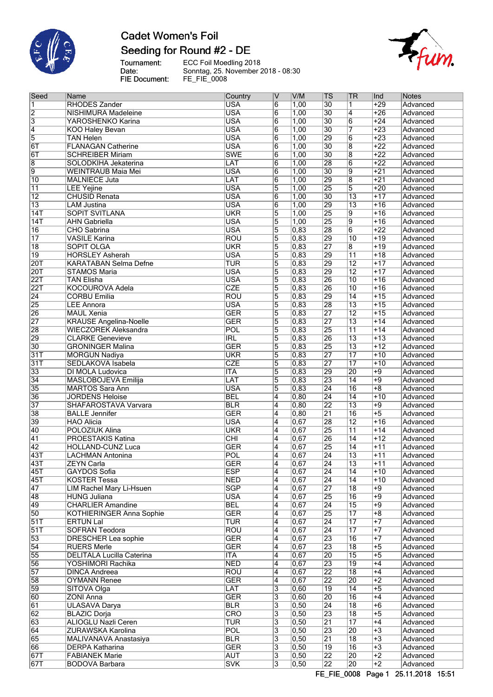

# **Cadet Women's Foil** Seeding for Round #2 - DE

Tournament:<br>Date:<br>FIE Document:

ECC Foil Moedling 2018 Sonntag, 25. November 2018 - 08:30 FE\_FIE\_0008



| Seed             | Name                             | Country                 | ۱V              | V/M               | <b>TS</b>       | <b>TR</b>               | Ind              | <b>Notes</b> |
|------------------|----------------------------------|-------------------------|-----------------|-------------------|-----------------|-------------------------|------------------|--------------|
| $\overline{1}$   | <b>RHODES Zander</b>             | <b>USA</b>              | $6\overline{6}$ | 1,00              | $\overline{30}$ | $\overline{1}$          | $+29$            | Advanced     |
| $\overline{2}$   | NISHIMURA Madeleine              | <b>USA</b>              | $6\overline{6}$ | 1,00              | 30              | $\overline{4}$          | $+26$            | Advanced     |
| $\overline{3}$   | YAROSHENKO Karina                | <b>USA</b>              | $\overline{6}$  | 1,00              | 30              | $\overline{6}$          | $+24$            | Advanced     |
| $\overline{4}$   | <b>KOO Haley Bevan</b>           | <b>USA</b>              | $\overline{6}$  | 1,00              | $\overline{30}$ | 7                       | $+23$            | Advanced     |
| 5                | <b>TAN Helen</b>                 | <b>USA</b>              | $\overline{6}$  | 1,00              | 29              | $\overline{6}$          | $\overline{+23}$ | Advanced     |
| 6T               | <b>FLANAGAN Catherine</b>        | <b>USA</b>              | $6\overline{6}$ | 1,00              | $\overline{30}$ | $\overline{8}$          | $+22$            | Advanced     |
| 6T               | <b>SCHREIBER Miriam</b>          | <b>SWE</b>              | $\overline{6}$  | 1,00              | $\overline{30}$ | $\overline{8}$          | $+22$            | Advanced     |
| $\overline{8}$   | SOLODKIHA Jekaterina             | LAT                     | $\overline{6}$  | 1,00              | 28              | $\overline{6}$          | $\overline{+22}$ | Advanced     |
| $\overline{9}$   | <b>WEINTRAUB Maia Mei</b>        | <b>USA</b>              | $6\overline{6}$ | 1,00              | 30              | 9                       | $+21$            | Advanced     |
| $\overline{10}$  | <b>MALNIECE Juta</b>             | LAT                     | $\overline{6}$  | 1,00              | 29              | $\overline{\mathbf{8}}$ | $+21$            | Advanced     |
| $\overline{11}$  | <b>LEE Yejine</b>                | <b>USA</b>              | $\overline{5}$  | 1,00              | 25              | $\overline{5}$          | $+20$            | Advanced     |
| $\overline{12}$  | <b>CHUSID Renata</b>             | <b>USA</b>              | $\overline{6}$  | 1,00              | 30              | 13                      | $+17$            | Advanced     |
| $\overline{13}$  | <b>LAM Justina</b>               | <b>USA</b>              | $\overline{6}$  | 1,00              | 29              | $\overline{13}$         | $+16$            | Advanced     |
| 14T              | <b>SOPIT SVITLANA</b>            | <b>UKR</b>              | $\overline{5}$  | 1,00              | 25              | $\overline{9}$          | $+16$            | Advanced     |
| 14T              | <b>AHN Gabriella</b>             | <b>USA</b>              | $\overline{5}$  | 1,00              | 25              | 9                       | $+16$            | Advanced     |
| $\overline{16}$  | <b>CHO</b> Sabrina               | <b>USA</b>              | $\overline{5}$  | 0,83              | 28              | $6\overline{6}$         | $+22$            | Advanced     |
| $\overline{17}$  | <b>VASILE Karina</b>             | <b>ROU</b>              | $\overline{5}$  | 0,83              | 29              | 10                      | $+19$            | Advanced     |
| $\overline{18}$  | <b>SOPIT OLGA</b>                | <b>UKR</b>              | $\overline{5}$  | $\overline{0,83}$ | 27              | $\overline{8}$          | $+19$            | Advanced     |
| $\overline{19}$  | <b>HORSLEY Asherah</b>           | <b>USA</b>              | $\overline{5}$  | 0,83              | 29              | $\overline{11}$         | $+18$            | Advanced     |
| 20T              | <b>KARATABAN Selma Defne</b>     | TUR                     | $\overline{5}$  | 0,83              | 29              | $\overline{12}$         | $+17$            | Advanced     |
| 20T              | <b>STAMOS Maria</b>              | <b>USA</b>              | $\overline{5}$  | 0,83              | 29              | $\overline{12}$         | $+17$            | Advanced     |
| $\overline{22T}$ | <b>TAN Elisha</b>                | <b>USA</b>              | $\overline{5}$  | 0,83              | 26              | $\overline{10}$         | $+16$            | Advanced     |
| 22T              | <b>KOCOUROVA Adela</b>           | CZE                     | $\overline{5}$  | 0,83              | 26              | $\overline{10}$         | $+16$            | Advanced     |
| $\overline{24}$  | <b>CORBU Emilia</b>              | <b>ROU</b>              | $\overline{5}$  | 0,83              | 29              | $\overline{14}$         | $+15$            | Advanced     |
| 25               | <b>LEE Annora</b>                | <b>USA</b>              | $\overline{5}$  | 0,83              | 28              | 13                      | $+15$            | Advanced     |
| 26               | <b>MAUL Xenia</b>                | <b>GER</b>              | $\overline{5}$  | 0,83              | 27              | $\overline{12}$         | $+15$            | Advanced     |
| $\overline{27}$  | <b>KRAUSE Angelina-Noelle</b>    | <b>GER</b>              | $\overline{5}$  | 0,83              | 27              | $\overline{13}$         | $+14$            | Advanced     |
| 28               | <b>WIECZOREK Aleksandra</b>      | POL                     | $\overline{5}$  | 0,83              | 25              | $\overline{11}$         | $+14$            | Advanced     |
| 29               | <b>CLARKE Genevieve</b>          | <b>IRL</b>              | $\overline{5}$  | 0,83              | 26              | $\overline{13}$         | $+13$            | Advanced     |
| 30               | <b>GRONINGER Malina</b>          | <b>GER</b>              | $\overline{5}$  | 0,83              | 25              | 13                      | $+12$            | Advanced     |
| 31T              | <b>MORGUN Nadiya</b>             | <b>UKR</b>              | $\overline{5}$  | 0,83              | 27              | $\overline{17}$         | $+10$            | Advanced     |
| 31T              | SEDLAKOVA Isabela                | <b>CZE</b>              | $\overline{5}$  | 0,83              | 27              | $\overline{17}$         | $+10$            | Advanced     |
| 33               | DI MOLA Ludovica                 | <b>ITA</b>              | $\overline{5}$  | 0,83              | 29              | 20                      | $+9$             | Advanced     |
| $\overline{34}$  | <b>MASLOBOJEVA Emilija</b>       | LAT                     | $\overline{5}$  | 0,83              | 23              | 14                      | $+9$             | Advanced     |
| 35               | <b>MARTOS Sara Ann</b>           | <b>USA</b>              | $\overline{5}$  | 0,83              | $\overline{24}$ | 16                      | $\overline{+8}$  | Advanced     |
| 36               | <b>JORDENS Heloise</b>           | <b>BEL</b>              | $\overline{4}$  | 0,80              | $\overline{24}$ | $\overline{14}$         | $+10$            | Advanced     |
| $\overline{37}$  | SHAFAROSTAVA Varvara             | <b>BLR</b>              | $\overline{4}$  | 0,80              | 22              | $\overline{13}$         | $+9$             | Advanced     |
| 38               | <b>BALLE Jennifer</b>            | <b>GER</b>              | $\overline{4}$  | 0,80              | $\overline{21}$ | 16                      | $+5$             | Advanced     |
| 39               | <b>HAO Alicia</b>                | <b>USA</b>              | $\overline{4}$  | 0,67              | 28              | $\overline{12}$         | $+16$            | Advanced     |
| 40               | <b>POLOZIUK Alina</b>            | <b>UKR</b>              | $\overline{4}$  | 0,67              | 25              | $\overline{11}$         | $+14$            | Advanced     |
| $\overline{41}$  | <b>PROESTAKIS Katina</b>         | $\overline{\text{CHI}}$ | $\overline{4}$  | 0,67              | 26              | $\overline{14}$         | $+12$            | Advanced     |
| $\overline{42}$  | <b>HOLLAND-CUNZ Luca</b>         | <b>GER</b>              | $\overline{4}$  | 0,67              | 25              | $\overline{14}$         | $+11$            | Advanced     |
| $\overline{43T}$ | <b>LACHMAN Antonina</b>          | POL                     | $\overline{4}$  | 0,67              | 24              | $\overline{13}$         | $+11$            | Advanced     |
| 43T              | ZEYN Carla                       | GER                     | 4               | 0,67              | 24              | 13                      | +11              | Advanced     |
| 45T              | <b>GAYDOS Sofia</b>              | <b>ESP</b>              | $\overline{4}$  | 0,67              | $\overline{24}$ | $\overline{14}$         | $+10$            | Advanced     |
| $\overline{45T}$ | <b>KOSTER Tessa</b>              | <b>NED</b>              | $\overline{4}$  | 0,67              | $\overline{24}$ | $\overline{14}$         | $+10$            | Advanced     |
| $\overline{47}$  | LIM Rachel Mary Li-Hsuen         | <b>SGP</b>              | 4               | 0,67              | 27              | 18                      | $+9$             | Advanced     |
| 48               | <b>HUNG Juliana</b>              | <b>USA</b>              | 4               | 0,67              | 25              | $\overline{16}$         | $+9$             | Advanced     |
| 49               | <b>CHARLIER Amandine</b>         | <b>BEL</b>              | $\overline{4}$  | 0,67              | $\overline{24}$ | 15                      | $+9$             | Advanced     |
| 50               | KOTHIERINGER Anna Sophie         | <b>GER</b>              | 4               | 0,67              | 25              | $\overline{17}$         | $+8$             | Advanced     |
| 51T              | <b>ERTUN Lal</b>                 | <b>TUR</b>              | 4               | 0,67              | $\overline{24}$ | $\overline{17}$         | $+7$             | Advanced     |
| 51T              | <b>SOFRAN Teodora</b>            | $\overline{\text{ROU}}$ | 4               | 0,67              | $\overline{24}$ | $\overline{17}$         | $+7$             | Advanced     |
| 53               | DRESCHER Lea sophie              | <b>GER</b>              | 4               | 0,67              | 23              | 16                      | $\overline{+7}$  | Advanced     |
| $\overline{54}$  | <b>RUERS Merle</b>               | <b>GER</b>              | $\overline{4}$  | 0,67              | 23              | $\overline{18}$         | $+5$             | Advanced     |
| 55               | <b>DELITALA Lucilla Caterina</b> | <b>ITA</b>              | $\overline{4}$  | 0,67              | 20              | 15                      | $\overline{+5}$  | Advanced     |
| 56               | YOSHIMORI Rachika                | <b>NED</b>              | 4               | 0,67              | 23              | $ 19\rangle$            | $+4$             | Advanced     |
| 57               | <b>DINCA Andreea</b>             | <b>ROU</b>              | $\overline{4}$  | 0,67              | 22              | 18                      | $+4$             | Advanced     |
| 58               | <b>OYMANN Renee</b>              | <b>GER</b>              | $\overline{4}$  | 0,67              | 22              | 20                      | $+2$             | Advanced     |
| 59               | SITOVA Olga                      | LAT                     | $\overline{3}$  | 0,60              | $\overline{19}$ | 14                      | $+5$             | Advanced     |
| 60               | <b>ZONI Anna</b>                 | <b>GER</b>              | $\overline{3}$  | 0,60              | 20              | 16                      | $+4$             | Advanced     |
| 61               | <b>ULASAVA Darya</b>             | <b>BLR</b>              | $\overline{3}$  | 0,50              | $\overline{24}$ | 18                      | $\overline{+6}$  | Advanced     |
| $\overline{62}$  | <b>BLAZIC Dorja</b>              | $\overline{\text{CRO}}$ | $\overline{3}$  | 0,50              | 23              | 18                      | $\overline{+5}$  | Advanced     |
| 63               | <b>ALIOGLU Nazli Ceren</b>       | TUR                     | 3               | 0,50              | $\overline{21}$ | $\overline{17}$         | $+4$             | Advanced     |
| $\overline{64}$  | <b>ZURAWSKA Karolina</b>         | <b>POL</b>              | $\overline{3}$  | 0,50              | 23              | 20                      | $\overline{+3}$  | Advanced     |
| 65               | MALIVANAVA Anastasiya            | <b>BLR</b>              | 3               | 0, 50             | 21              | 18                      | $+3$             | Advanced     |
| 66               | DERPA Katharina                  | <b>GER</b>              | 3               | 0,50              | $\overline{19}$ | $\overline{16}$         | $+3$             | Advanced     |
| 67T              | <b>FABIANEK Marie</b>            | <b>AUT</b>              | $\overline{3}$  | 0,50              | 22              | 20                      | $+2$             | Advanced     |
| 67T              | <b>BODOVA Barbara</b>            | <b>SVK</b>              | $\overline{3}$  | $\overline{0,50}$ | $\overline{22}$ | 20                      | $+2$             | Advanced     |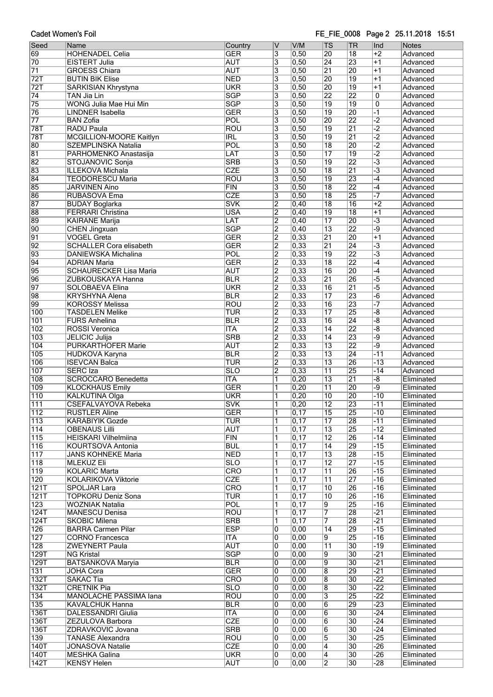Cadet Women's Foil

### FE FIE 0008 Page 2 25.11.2018 15:51

| Seed             | Name                           | Country                 | ۱V                        | V/M               | <b>TS</b>               | <b>TR</b>       | Ind                            | <b>Notes</b> |
|------------------|--------------------------------|-------------------------|---------------------------|-------------------|-------------------------|-----------------|--------------------------------|--------------|
| 69               | <b>HOHENADEL Celia</b>         | <b>GER</b>              | 3                         | 0,50              | 20                      | 18              | $+2$                           | Advanced     |
| 70               | <b>EISTERT Julia</b>           | <b>AUT</b>              | $\overline{3}$            | 0,50              | $\overline{24}$         | 23              | $+1$                           | Advanced     |
| $\overline{71}$  |                                | <b>AUT</b>              |                           | 0,50              | $\overline{21}$         | 20              | $+1$                           |              |
|                  | <b>GROESS Chiara</b>           |                         | 3                         |                   |                         |                 |                                | Advanced     |
| 72T              | <b>BUTIN BIK Elise</b>         | <b>NED</b>              | $\overline{\overline{3}}$ | 0,50              | 20                      | 19              | $+1$                           | Advanced     |
| 72T              | <b>SARKISIAN Khrystyna</b>     | <b>UKR</b>              | $\overline{3}$            | 0,50              | $\overline{20}$         | 19              | $+1$                           | Advanced     |
| $\overline{74}$  | TAN Jia Lin                    | <b>SGP</b>              | $\overline{\overline{3}}$ | 0,50              | $\overline{22}$         | 22              | $\overline{0}$                 | Advanced     |
|                  |                                |                         |                           |                   |                         |                 |                                |              |
| 75               | WONG Julia Mae Hui Min         | <b>SGP</b>              | 3                         | 0,50              | $\overline{19}$         | 19              | $\overline{0}$                 | Advanced     |
| 76               | <b>LINDNER Isabella</b>        | <b>GER</b>              | $\overline{\mathbf{3}}$   | 0,50              | $\overline{19}$         | 20              | $\overline{1}$                 | Advanced     |
| $\overline{77}$  | <b>BAN Zofia</b>               | POL                     | $\overline{3}$            | 0,50              | 20                      | $\overline{22}$ | $\overline{-2}$                | Advanced     |
|                  |                                | <b>ROU</b>              |                           |                   |                         |                 | $\overline{-2}$                | Advanced     |
| 78T              | <b>RADU Paula</b>              |                         | 3                         | 0,50              | $\overline{19}$         | $\overline{21}$ |                                |              |
| 78T              | <b>MCGILLION-MOORE Kaitlyn</b> | <b>IRL</b>              | 3                         | 0,50              | $\overline{19}$         | $\overline{21}$ | $\overline{-2}$                | Advanced     |
| 80               | <b>SZEMPLINSKA Natalia</b>     | POL                     | $\overline{3}$            | 0,50              | $\overline{18}$         | 20              | $\overline{-2}$                | Advanced     |
| 81               | PARHOMENKO Anastasija          | LAT                     | 3                         | 0,50              | $\overline{17}$         | 19              | $\overline{2}$                 | Advanced     |
|                  |                                |                         |                           |                   |                         |                 |                                |              |
| 82               | STOJANOVIC Sonja               | <b>SRB</b>              | 3                         | 0,50              | $\overline{19}$         | 22              | $\overline{\cdot}$ 3           | Advanced     |
| 83               | <b>ILLEKOVA Michala</b>        | <b>CZE</b>              | $\overline{3}$            | 0,50              | $\overline{18}$         | 21              | $\overline{-3}$                | Advanced     |
| 84               | <b>TEODORESCU Maria</b>        | <b>ROU</b>              | $\overline{\mathbf{3}}$   | 0,50              | 19                      | 23              | $-4$                           | Advanced     |
| 85               | <b>JARVINEN Aino</b>           | FIN                     | $\overline{3}$            | 0,50              | $\overline{18}$         | 22              | $-4$                           | Advanced     |
|                  |                                |                         |                           |                   |                         |                 |                                |              |
| 86               | RUBASOVA Ema                   | <b>CZE</b>              | $\overline{\mathbf{3}}$   | 0,50              | $\overline{18}$         | 25              | $-7$                           | Advanced     |
| 87               | <b>BUDAY Boglarka</b>          | <b>SVK</b>              | $\overline{2}$            | 0,40              | $\overline{18}$         | 16              | $+2$                           | Advanced     |
| 88               | <b>FERRARI Christina</b>       | <b>USA</b>              | $\overline{2}$            | 0,40              | $\overline{19}$         | $\overline{18}$ | $+1$                           | Advanced     |
| 89               | <b>KAIRANE Marija</b>          | LAT                     | $\overline{2}$            | 0,40              | $\overline{17}$         | 20              | $\overline{-3}$                | Advanced     |
|                  |                                |                         |                           |                   |                         |                 |                                |              |
| 90               | <b>CHEN Jingxuan</b>           | <b>SGP</b>              | $\overline{2}$            | 0,40              | $\overline{13}$         | 22              | -9                             | Advanced     |
| 91               | <b>VOGEL Greta</b>             | <b>GER</b>              | $\overline{2}$            | 0,33              | $\overline{21}$         | 20              | $+1$                           | Advanced     |
| 92               | <b>SCHALLER Cora elisabeth</b> | <b>GER</b>              | $\overline{2}$            | 0,33              | $\overline{21}$         | 24              | $\overline{-3}$                | Advanced     |
|                  |                                | POL                     |                           |                   |                         |                 | $\overline{\cdot \cdot \cdot}$ |              |
| 93               | <b>DANIEWSKA Michalina</b>     |                         | $\overline{2}$            | 0,33              | $\overline{19}$         | 22              |                                | Advanced     |
| 94               | <b>ADRIAN Maria</b>            | <b>GER</b>              | $\overline{2}$            | 0,33              | $\overline{18}$         | 22              | $-4$                           | Advanced     |
| 95               | <b>SCHAURECKER Lisa Maria</b>  | <b>AUT</b>              | $\overline{2}$            | 0,33              | 16                      | 20              | $\overline{-4}$                | Advanced     |
| 96               | <b>ZUBKOUSKAYA Hanna</b>       | <b>BLR</b>              | $\overline{2}$            | 0,33              | $\overline{21}$         | 26              | $-5$                           | Advanced     |
|                  |                                |                         |                           |                   |                         |                 |                                |              |
| 97               | <b>SOLOBAEVA Elina</b>         | <b>UKR</b>              | $\overline{2}$            | 0,33              | $\overline{16}$         | $\overline{21}$ | $-5$                           | Advanced     |
| 98               | <b>KRYSHYNA Alena</b>          | <b>BLR</b>              | $\overline{2}$            | 0,33              | $\overline{17}$         | 23              | $-\overline{6}$                | Advanced     |
| 99               | <b>KOROSSY Melissa</b>         | <b>ROU</b>              | $\overline{2}$            | 0,33              | 16                      | 23              |                                | Advanced     |
|                  |                                | <b>TUR</b>              |                           |                   | $\overline{17}$         | 25              | $\overline{-8}$                |              |
| 100              | <b>TASDELEN Melike</b>         |                         | $\overline{2}$            | 0,33              |                         |                 |                                | Advanced     |
| 101              | <b>FURS Anhelina</b>           | <b>BLR</b>              | $\overline{2}$            | 0,33              | $\overline{16}$         | $\overline{24}$ | -8                             | Advanced     |
| 102              | ROSSI Veronica                 | <b>ITA</b>              | $\overline{2}$            | 0,33              | $\overline{14}$         | $\overline{22}$ | $\overline{-8}$                | Advanced     |
| $\overline{103}$ | <b>JELICIC Julija</b>          | <b>SRB</b>              | $\overline{2}$            | 0,33              | 14                      | 23              | -9                             | Advanced     |
|                  |                                |                         |                           |                   |                         |                 |                                |              |
| 104              | <b>PURKARTHOFER Marie</b>      | <b>AUT</b>              | $\overline{2}$            | 0,33              | $\overline{13}$         | $\overline{22}$ | -9                             | Advanced     |
| 105              | <b>HUDKOVA Karyna</b>          | <b>BLR</b>              | $\overline{2}$            | 0,33              | $\overline{13}$         | 24              | $-11$                          | Advanced     |
| 106              | <b>ISEVCAN Balca</b>           | <b>TUR</b>              | $\overline{2}$            | 0,33              | $\overline{13}$         | 26              | $-13$                          | Advanced     |
| 107              | <b>SERC</b> Iza                | <b>SLO</b>              | $\overline{2}$            | 0,33              | $\overline{11}$         | 25              | $-14$                          | Advanced     |
|                  |                                |                         |                           |                   |                         |                 |                                |              |
| 108              | <b>SCROCCARO Benedetta</b>     | <b>ITA</b>              | $\overline{\mathbb{1}}$   | 0,20              | $\overline{13}$         | $\overline{21}$ | $\overline{-8}$                | Eliminated   |
| 109              | <b>KLOCKHAUS Emily</b>         | <b>GER</b>              | ī                         | 0,20              | $\overline{11}$         | 20              | -9                             | Eliminated   |
| $\overline{110}$ | KALKUTINA Olga                 | <b>UKR</b>              | 1                         | 0,20              | 10                      | 20              | $-10$                          | Eliminated   |
|                  |                                |                         |                           |                   |                         |                 |                                |              |
| $\overline{111}$ | <b>CSEFALVAYOVA Rebeka</b>     | <b>SVK</b>              | $\overline{1}$            | 0,20              | $\overline{12}$         | 23              | $-11$                          | Eliminated   |
| 112              | <b>RUSTLER Aline</b>           | <b>GER</b>              | 1                         | $\overline{0,17}$ | 15                      | 25              | $-10$                          | Eliminated   |
| 113              | KARABIYIK Gozde                | TUR                     | 1                         | 0,17              | 17                      | 28              | $-11$                          | Eliminated   |
| 114              | <b>OBENAUS Lilli</b>           | <b>AUT</b>              | 1                         | 0,17              | 13                      | $\overline{25}$ | $-12$                          | Eliminated   |
|                  |                                |                         |                           |                   |                         |                 |                                |              |
| $\overline{115}$ | <b>HEISKARI Vilhelmiina</b>    | FIN                     | 1                         | 0,17              | $\overline{12}$         | $\overline{26}$ | $-14$                          | Eliminated   |
| 116              | KOURTSOVA Antonia              | <b>BUL</b>              | 1                         | 0,17              | 14                      | 29              | $-15$                          | Eliminated   |
| 117              | <b>JANS KOHNEKE Maria</b>      | <b>NED</b>              | 1                         | 0,17              | $\overline{13}$         | 28              | $-15$                          | Eliminated   |
| $\overline{118}$ | <b>MLEKUZ Eli</b>              | $\overline{\text{SLO}}$ | 1                         | 0,17              | $\overline{12}$         | 27              | $-15$                          | Eliminated   |
|                  |                                |                         |                           |                   |                         |                 |                                |              |
| 119              | <b>KOLARIC Marta</b>           | <b>CRO</b>              | 1                         | 0,17              | $\overline{11}$         | $\overline{26}$ | $-15$                          | Eliminated   |
| 120              | KOLARIKOVA Viktorie            | <b>CZE</b>              | 1                         | 0,17              | 11                      | $\overline{27}$ | $-16$                          | Eliminated   |
| 121T             | <b>SPOLJAR Lara</b>            | <b>CRO</b>              | 1                         | 0,17              | 10                      | 26              | $-16$                          | Eliminated   |
| 121T             | <b>TOPKORU Deniz Sona</b>      | <b>TUR</b>              | 1                         | 0,17              | 10                      | $\overline{26}$ | $-16$                          | Eliminated   |
|                  |                                |                         |                           |                   |                         |                 |                                |              |
| 123              | <b>WOZNIAK Natalia</b>         | POL                     | 1                         | 0,17              | 9                       | 25              | $-16$                          | Eliminated   |
| 124T             | <b>MANESCU Denisa</b>          | <b>ROU</b>              | 1                         | 0,17              | 7                       | 28              | $-21$                          | Eliminated   |
| 124T             | <b>SKOBIC Milena</b>           | <b>SRB</b>              | 1                         | 0,17              | 7                       | 28              | $-21$                          | Eliminated   |
| 126              | <b>BARRA Carmen Pilar</b>      | <b>ESP</b>              | 0                         | 0,00              | 14                      | 29              | $-15$                          | Eliminated   |
|                  |                                |                         |                           |                   |                         |                 |                                |              |
| 127              | CORNO Francesca                | <b>ITA</b>              | $\overline{0}$            | 0,00              | 9                       | $\overline{25}$ | $-16$                          | Eliminated   |
| 128              | <b>ZWEYNERT Paula</b>          | <b>AUT</b>              | 0                         | 0,00              | $\overline{11}$         | $ 30\rangle$    | $-19$                          | Eliminated   |
| 129T             | <b>NG Kristal</b>              | <b>SGP</b>              | 0                         | 0,00              | 9                       | 30              | $-21$                          | Eliminated   |
| 129T             | <b>BATSANKOVA Maryia</b>       | <b>BLR</b>              | $\overline{0}$            | 0,00              | 9                       | $\overline{30}$ | $-21$                          | Eliminated   |
|                  |                                |                         |                           |                   |                         |                 |                                |              |
| 131              | <b>JOHA Cora</b>               | <b>GER</b>              | 0                         | 0,00              | $\overline{8}$          | 29              | $-21$                          | Eliminated   |
| 132T             | <b>SAKAC Tia</b>               | <b>CRO</b>              | 0                         | 0,00              | $\overline{8}$          | 30              | $-22$                          | Eliminated   |
| 132T             | <b>CRETNIK Pia</b>             | <b>SLO</b>              | 0                         | 0,00              | $\overline{8}$          | 30              | $-22$                          | Eliminated   |
| 134              | MANOLACHE PASSIMA lana         | <b>ROU</b>              | 0                         | 0,00              | $\overline{\mathbf{3}}$ | 25              | $-22$                          | Eliminated   |
|                  |                                |                         |                           |                   |                         |                 |                                |              |
| 135              | <b>KAVALCHUK Hanna</b>         | <b>BLR</b>              | 0                         | 0,00              | $\overline{6}$          | 29              | $-23$                          | Eliminated   |
| 136T             | <b>DALESSANDRI Giulia</b>      | <b>ITA</b>              | 0                         | 0,00              | 6                       | 30              | $-24$                          | Eliminated   |
| 136T             | ZEZULOVA Barbora               | <b>CZE</b>              | 0                         | 0,00              | $\overline{6}$          | 30              | $-24$                          | Eliminated   |
|                  |                                |                         |                           |                   |                         |                 |                                |              |
| 136T             | ZDRAVKOVIC Jovana              | <b>SRB</b>              | 0                         | $\overline{0,00}$ | 6                       | 30              | $-24$                          | Eliminated   |
| 139              | <b>TANASE Alexandra</b>        | <b>ROU</b>              | 0                         | 0,00              | $\overline{5}$          | 30              | $-25$                          | Eliminated   |
| 140T             | <b>JONASOVA Natalie</b>        | <b>CZE</b>              | 0                         | 0,00              | 4                       | 30              | $-26$                          | Eliminated   |
| 140T             | MESHKA Galina                  | <b>UKR</b>              | 0                         | 0,00              | 4                       | 30              | $-26$                          | Eliminated   |
|                  |                                |                         |                           |                   |                         |                 |                                |              |
| 142T             | <b>KENSY Helen</b>             | <b>AUT</b>              | 0                         | 0,00              | $\overline{2}$          | $ 30\rangle$    | $-28$                          | Eliminated   |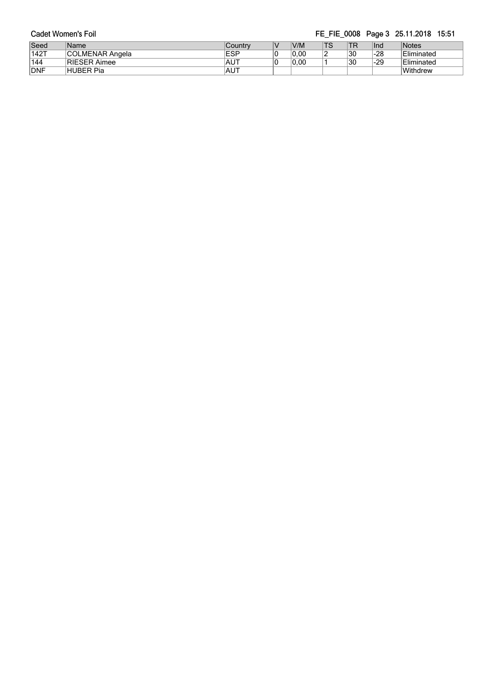|               | Cadet Women's Foil  |             |      |    |     |     | FE FIE 0008 Page 3 25.11.2018 15:51 |
|---------------|---------------------|-------------|------|----|-----|-----|-------------------------------------|
| Seed          | Name                | Country     | V/M  | TS | `TR | Ind | Notes                               |
| $\sqrt{142T}$ | COLMENAR Angela     | <b>ESP</b>  | 0.00 |    | 30  | -28 | Eliminated                          |
| 144           | <b>RIESER Aimee</b> | ≀AUT        | 0.00 |    | 30  | -29 | Eliminated                          |
| <b>DNF</b>    | HUBER Pia           | <b>IAUT</b> |      |    |     |     | Withdrew                            |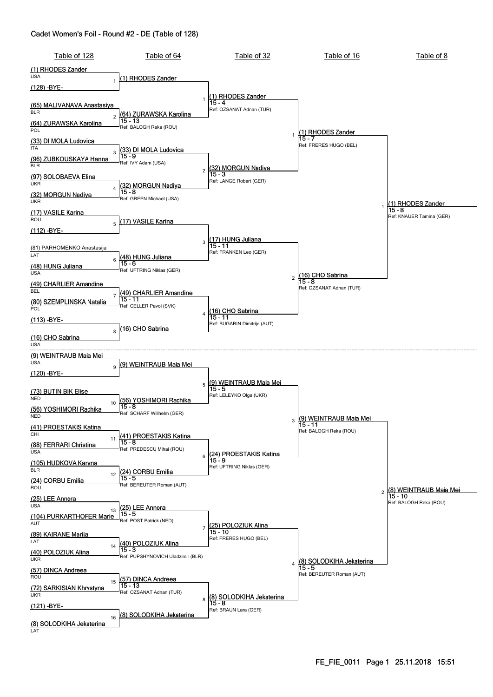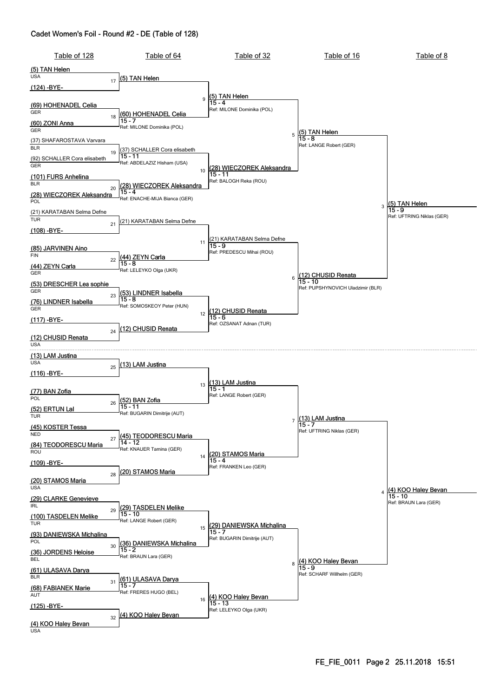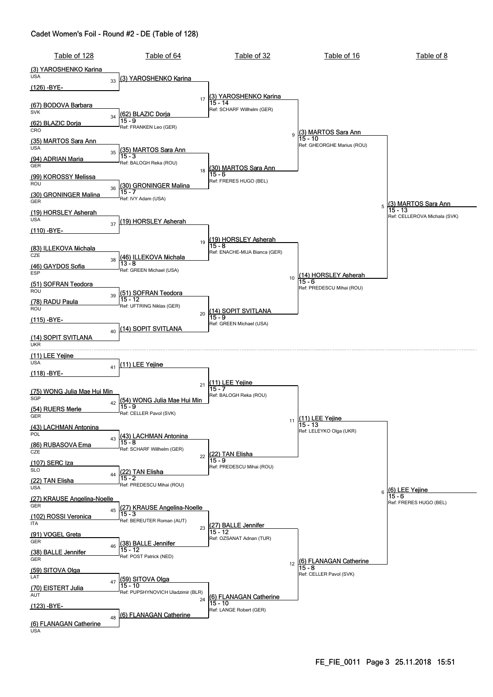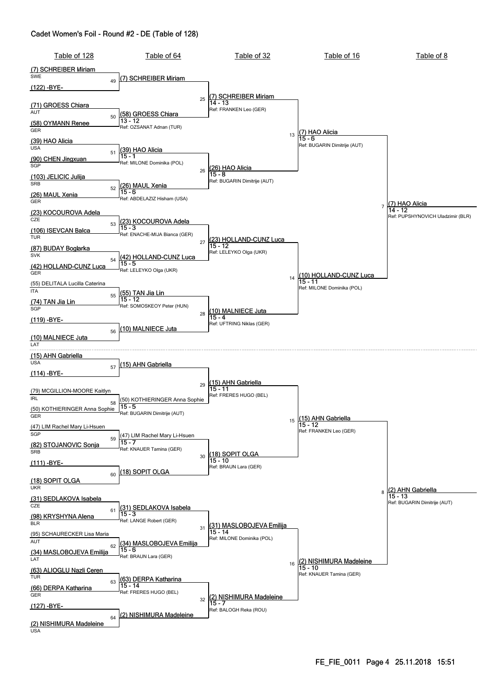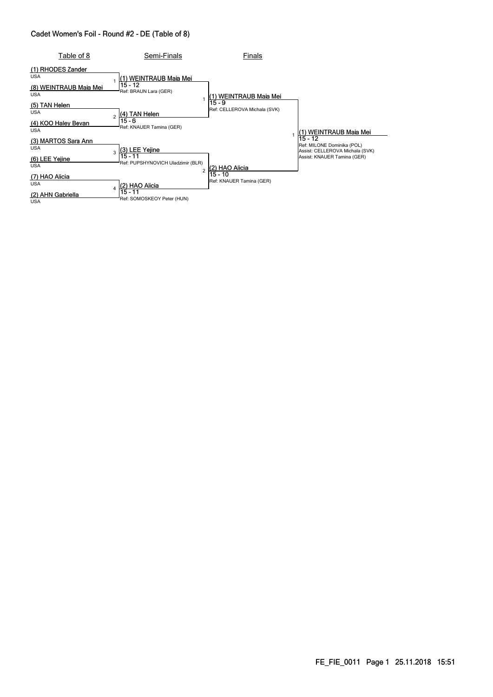| Table of 8                           | Semi-Finals                                  | Finals                                 |                                                                            |
|--------------------------------------|----------------------------------------------|----------------------------------------|----------------------------------------------------------------------------|
| (1) RHODES Zander<br><b>USA</b>      | l(1) WEINTRAUB Maia Mei<br>15 - 12           |                                        |                                                                            |
| (8) WEINTRAUB Maia Mei<br><b>USA</b> | Ref: BRAUN Lara (GER)                        | l(1) WEINTRAUB Maia Mei                |                                                                            |
| (5) TAN Helen<br><b>USA</b>          | (4) TAN Helen                                | 15 - 9<br>Ref: CELLEROVA Michala (SVK) |                                                                            |
| (4) KOO Haley Bevan<br><b>USA</b>    | 15 - 6<br>Ref: KNAUER Tamina (GER)           |                                        | (1) WEINTRAUB Maia Mei                                                     |
| (3) MARTOS Sara Ann<br><b>USA</b>    | (3) LEE Yejine<br>3                          |                                        | $15 - 12$<br>Ref: MILONE Dominika (POL)<br>Assist: CELLEROVA Michala (SVK) |
| (6) LEE Yejine<br><b>USA</b>         | 15 - 11<br>Ref: PUPSHYNOVICH Uladzimir (BLR) | 2) HAO Alicia                          | Assist: KNAUER Tamina (GER)                                                |
| HAO Alicia<br><b>USA</b>             | (2) HAO Alicia                               | 15 - 10<br>Ref: KNAUER Tamina (GER)    |                                                                            |
| (2) AHN Gabriella<br><b>USA</b>      | 15 - 11<br>Ref: SOMOSKEOY Peter (HUN)        |                                        |                                                                            |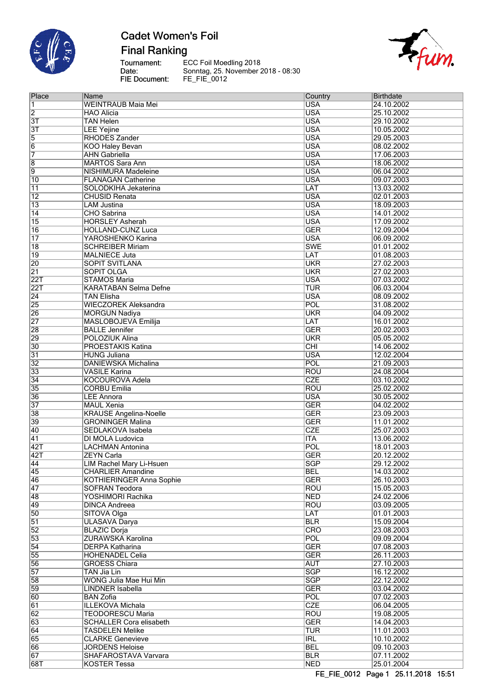

**Inch** 

# **Cadet Women's Foil**

**Final Ranking** 

Tournament:<br>Date:<br>FIE Document:

ECC Foil Moedling 2018<br>Sonntag, 25. November 2018 - 08:30<br>FE\_FIE\_0012



| Place            | Name                            | Country                 | Birthdate  |
|------------------|---------------------------------|-------------------------|------------|
| 1                | <b>WEINTRAUB Maia Mei</b>       | <b>USA</b>              | 24.10.2002 |
| $\overline{2}$   | <b>HAO Alicia</b>               | <b>USA</b>              | 25.10.2002 |
| $\overline{3T}$  | <b>TAN Helen</b>                | <b>USA</b>              | 29.10.2002 |
| $\overline{3}$ T | <b>LEE Yejine</b>               | <b>USA</b>              | 10.05.2002 |
| 5                | <b>RHODES Zander</b>            | <b>USA</b>              | 29.05.2003 |
| 6                | <b>KOO Haley Bevan</b>          | <b>USA</b>              | 08.02.2002 |
| $\overline{7}$   | <b>AHN Gabriella</b>            | <b>USA</b>              | 17.06.2003 |
| $\overline{8}$   | <b>MARTOS Sara Ann</b>          | <b>USA</b>              | 18.06.2002 |
| 9                | NISHIMURA Madeleine             | <b>USA</b>              | 06.04.2002 |
| $\overline{10}$  | <b>FLANAGAN Catherine</b>       | <b>USA</b>              | 09.07.2003 |
| $\overline{11}$  | SOLODKIHA Jekaterina            | LAT                     | 13.03.2002 |
| $\overline{12}$  | <b>CHUSID Renata</b>            | <b>USA</b>              | 02.01.2003 |
| $\overline{13}$  | <b>LAM Justina</b>              | <b>USA</b>              | 18.09.2003 |
| $\overline{14}$  | <b>CHO</b> Sabrina              | <b>USA</b>              | 14.01.2002 |
| $\overline{15}$  | <b>HORSLEY Asherah</b>          | <b>USA</b>              | 17.09.2002 |
| $\overline{16}$  | <b>HOLLAND-CUNZ Luca</b>        | <b>GER</b>              | 12.09.2004 |
| $\overline{17}$  | YAROSHENKO Karina               | <b>USA</b>              | 06.09.2002 |
| $\overline{18}$  | <b>SCHREIBER Miriam</b>         | <b>SWE</b>              | 01.01.2002 |
| $\overline{19}$  | <b>MALNIECE Juta</b>            | LAT                     | 01.08.2003 |
| $\overline{20}$  | <b>SOPIT SVITLANA</b>           | <b>UKR</b>              | 27.02.2003 |
| $\overline{21}$  | <b>SOPIT OLGA</b>               | <b>UKR</b>              | 27.02.2003 |
| 22T              | <b>STAMOS Maria</b>             | <b>USA</b>              | 07.03.2002 |
| 22T              | <b>KARATABAN Selma Defne</b>    | TUR                     | 06.03.2004 |
| $\overline{24}$  | <b>TAN Elisha</b>               | <b>USA</b>              | 08.09.2002 |
| $\overline{25}$  | <b>WIECZOREK Aleksandra</b>     | POL                     | 31.08.2002 |
| 26               | <b>MORGUN Nadiya</b>            | <b>UKR</b>              | 04.09.2002 |
| $\overline{27}$  | MASLOBOJEVA Emilija             | LAT                     | 16.01.2002 |
| $\overline{28}$  | <b>BALLE Jennifer</b>           | <b>GER</b>              | 20.02.2003 |
| 29               | POLOZIUK Alina                  | <b>UKR</b>              | 05.05.2002 |
| $\overline{30}$  | <b>PROESTAKIS Katina</b>        | $\overline{\text{CHI}}$ | 14.06.2002 |
| $\overline{31}$  | <b>HUNG Juliana</b>             | <b>USA</b>              | 12.02.2004 |
| $\overline{32}$  | DANIEWSKA Michalina             | POL                     | 21.09.2003 |
| $\overline{33}$  | <b>VASILE Karina</b>            | <b>ROU</b>              | 24.08.2004 |
| 34               | KOCOUROVA Adela                 | <b>CZE</b>              | 03.10.2002 |
| $\overline{35}$  | <b>CORBU Emilia</b>             | <b>ROU</b>              | 25.02.2002 |
| $\overline{36}$  | <b>LEE Annora</b>               | <b>USA</b>              | 30.05.2002 |
| $\overline{37}$  | <b>MAUL Xenia</b>               | <b>GER</b>              | 04.02.2002 |
| $\overline{38}$  | <b>KRAUSE Angelina-Noelle</b>   | <b>GER</b>              | 23.09.2003 |
| 39               | <b>GRONINGER Malina</b>         | <b>GER</b>              | 11.01.2002 |
| $\overline{40}$  | SEDLAKOVA Isabela               | <b>CZE</b>              | 25.07.2003 |
| $\overline{41}$  | DI MOLA Ludovica                | <b>ITA</b>              | 13.06.2002 |
| 42T              | <b>LACHMAN Antonina</b>         | POL                     | 18.01.2003 |
| 42T              | <b>ZEYN Carla</b>               | <b>GER</b>              | 20.12.2002 |
| $\overline{44}$  | <b>LIM Rachel Mary Li-Hsuen</b> | <b>SGP</b>              | 29.12.2002 |
| 45               | <b>CHARLIER Amandine</b>        | <b>BEL</b>              | 14.03.2002 |
| 46               | <b>KOTHIERINGER Anna Sophie</b> | <b>GER</b>              | 26.10.2003 |
| 47               | <b>SOFRAN Teodora</b>           | <b>ROU</b>              | 15.05.2003 |
| 48               | YOSHIMORI Rachika               | <b>NED</b>              | 24.02.2006 |
| 49               | <b>DINCA Andreea</b>            | <b>ROU</b>              | 03.09.2005 |
| $\overline{50}$  | SITOVA Olga                     | <b>LAT</b>              | 01.01.2003 |
| $\overline{51}$  | <b>ULASAVA Darya</b>            | <b>BLR</b>              | 15.09.2004 |
| $\overline{52}$  | <b>BLAZIC Dorja</b>             | <b>CRO</b>              | 23.08.2003 |
| $\overline{53}$  | <b>ZURAWSKA Karolina</b>        | <b>POL</b>              | 09.09.2004 |
| $\overline{54}$  | <b>DERPA Katharina</b>          | <b>GER</b>              | 07.08.2003 |
| $\overline{55}$  | <b>HOHENADEL Celia</b>          | <b>GER</b>              | 26.11.2003 |
| $\overline{56}$  | <b>GROESS Chiara</b>            | <b>AUT</b>              | 27.10.2003 |
| $\overline{57}$  | <b>TAN Jia Lin</b>              | <b>SGP</b>              | 16.12.2002 |
| $\overline{58}$  | WONG Julia Mae Hui Min          | SGP                     | 22.12.2002 |
| $\overline{59}$  | <b>LINDNER Isabella</b>         | <b>GER</b>              | 03.04.2002 |
| $\overline{60}$  | <b>BAN Zofia</b>                | <b>POL</b>              | 07.02.2003 |
| $\overline{61}$  | <b>ILLEKOVA Michala</b>         | CZE                     | 06.04.2005 |
| $\overline{62}$  | <b>TEODORESCU Maria</b>         | <b>ROU</b>              | 19.08.2005 |
| $\overline{63}$  | <b>SCHALLER Cora elisabeth</b>  | <b>GER</b>              | 14.04.2003 |
| 64               | <b>TASDELEN Melike</b>          | <b>TUR</b>              | 11.01.2003 |
| $\overline{65}$  | <b>CLARKE Genevieve</b>         | <b>IRL</b>              | 10.10.2002 |
| 66               | <b>JORDENS Heloise</b>          | <b>BEL</b>              | 09.10.2003 |
| $\overline{67}$  | SHAFAROSTAVA Varvara            | <b>BLR</b>              | 07.11.2002 |
| 68T              | <b>KOSTER Tessa</b>             | <b>NED</b>              | 25.01.2004 |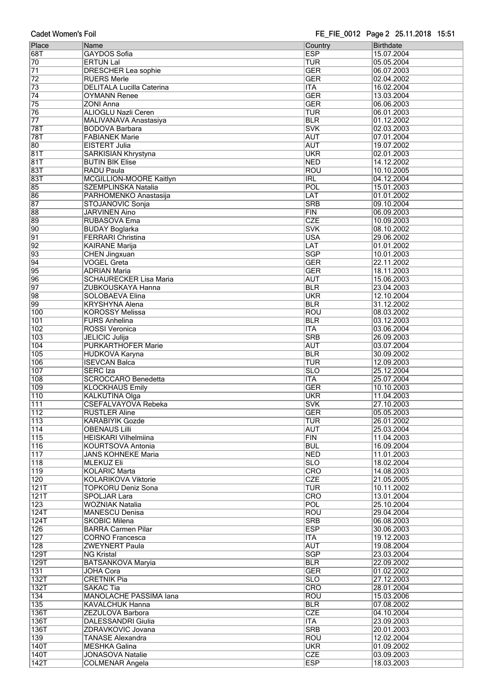| Place            | Name                             | Country                   | Birthdate  |
|------------------|----------------------------------|---------------------------|------------|
| 68T              | <b>GAYDOS Sofia</b>              | <b>ESP</b>                | 15.07.2004 |
| 70               | <b>ERTUN Lal</b>                 | TUR                       | 05.05.2004 |
| $\overline{71}$  | <b>DRESCHER Lea sophie</b>       | <b>GER</b>                | 06.07.2003 |
| $\overline{72}$  | <b>RUERS Merle</b>               | <b>GER</b>                | 02.04.2002 |
| $\overline{73}$  | <b>DELITALA Lucilla Caterina</b> | <b>ITA</b>                | 16.02.2004 |
| $\overline{74}$  | <b>OYMANN Renee</b>              | <b>GER</b>                | 13.03.2004 |
| $\overline{75}$  | <b>ZONI Anna</b>                 | <b>GER</b>                | 06.06.2003 |
|                  |                                  |                           |            |
| 76               | <b>ALIOGLU Nazli Ceren</b>       | <b>TUR</b>                | 06.01.2003 |
| $\overline{77}$  | MALIVANAVA Anastasiya            | <b>BLR</b>                | 01.12.2002 |
| <b>78T</b>       | <b>BODOVA Barbara</b>            | <b>SVK</b>                | 02.03.2003 |
| <b>78T</b>       | <b>FABIANEK Marie</b>            | <b>AUT</b>                | 07.01.2004 |
| 80               | EISTERT Julia                    | <b>AUT</b>                | 19.07.2002 |
| 81T              | <b>SARKISIAN Khrystyna</b>       | <b>UKR</b>                | 02.01.2003 |
| <b>81T</b>       | <b>BUTIN BIK Elise</b>           | <b>NED</b>                | 14.12.2002 |
| 83T              | <b>RADU Paula</b>                | ROU                       | 10.10.2005 |
| <b>83T</b>       | MCGILLION-MOORE Kaitlyn          | <b>IRL</b>                | 04.12.2004 |
| 85               | <b>SZEMPLINSKA Natalia</b>       | POL                       | 15.01.2003 |
| 86               | PARHOMENKO Anastasija            | LAT                       | 01.01.2002 |
|                  |                                  |                           |            |
| 87               | STOJANOVIC Sonja                 | <b>SRB</b>                | 09.10.2004 |
| 88               | <b>JARVINEN Aino</b>             | FIN                       | 06.09.2003 |
| 89               | <b>RUBASOVA Ema</b>              | <b>CZE</b>                | 10.09.2003 |
| $\overline{90}$  | <b>BUDAY Boglarka</b>            | <b>SVK</b>                | 08.10.2002 |
| $\overline{91}$  | FERRARI Christina                | <b>USA</b>                | 29.06.2002 |
| $\overline{92}$  | <b>KAIRANE Marija</b>            | LAT                       | 01.01.2002 |
| 93               | <b>CHEN Jingxuan</b>             | <b>SGP</b>                | 10.01.2003 |
| $\overline{94}$  | <b>VOGEL Greta</b>               | <b>GER</b>                | 22.11.2002 |
| 95               | <b>ADRIAN Maria</b>              | <b>GER</b>                | 18.11.2003 |
| 96               | <b>SCHAURECKER Lisa Maria</b>    | <b>AUT</b>                | 15.06.2003 |
|                  |                                  |                           |            |
| $\overline{97}$  | ZUBKOUSKAYA Hanna                | <b>BLR</b>                | 23.04.2003 |
| $\overline{98}$  | SOLOBAEVA Elina                  | <b>UKR</b>                | 12.10.2004 |
| 99               | <b>KRYSHYNA Alena</b>            | <b>BLR</b>                | 31.12.2002 |
| 100              | <b>KOROSSY Melissa</b>           | ROU                       | 08.03.2002 |
| 101              | <b>FURS Anhelina</b>             | <b>BLR</b>                | 03.12.2003 |
| 102              | <b>ROSSI Veronica</b>            | <b>ITA</b>                | 03.06.2004 |
| 103              | <b>JELICIC Julija</b>            | <b>SRB</b>                | 26.09.2003 |
| 104              | <b>PURKARTHOFER Marie</b>        | AUT                       | 03.07.2004 |
| 105              | <b>HUDKOVA Karyna</b>            | <b>BLR</b>                | 30.09.2002 |
| 106              | <b>ISEVCAN Balca</b>             | TUR                       | 12.09.2003 |
| 107              | <b>SERC</b> Iza                  | <b>SLO</b>                |            |
|                  |                                  |                           | 25.12.2004 |
| 108              | <b>SCROCCARO Benedetta</b>       | <b>ITA</b>                | 25.07.2004 |
| 109              | <b>KLOCKHAUS Emily</b>           | <b>GER</b>                | 10.10.2003 |
| 110              | <b>KALKUTINA Olga</b>            | <b>UKR</b>                | 11.04.2003 |
| $\overline{111}$ | <b>CSEFALVAYOVA Rebeka</b>       | <b>SVK</b>                | 27.10.2003 |
| $\overline{112}$ | <b>RUSTLER Aline</b>             | <b>GER</b>                | 05.05.2003 |
| $\overline{113}$ | <b>KARABIYIK Gozde</b>           | <b>TUR</b>                | 26.01.2002 |
| $\overline{114}$ | <b>OBENAUS Lilli</b>             | <b>AUT</b>                | 25.03.2004 |
| $\overline{115}$ | <b>HEISKARI Vilhelmiina</b>      | <b>FIN</b>                | 11.04.2003 |
| 116              | <b>KOURTSOVA Antonia</b>         | <b>BUL</b>                | 16.09.2004 |
| $\overline{117}$ | <b>JANS KOHNEKE Maria</b>        | <b>NED</b>                | 11.01.2003 |
| $\overline{118}$ | <b>MLEKUZ Eli</b>                | $\overline{\text{SLO}}$   | 18.02.2004 |
|                  |                                  |                           | 14.08.2003 |
| $\overline{119}$ | <b>KOLARIC Marta</b>             | <b>CRO</b>                |            |
| 120              | <b>KOLARIKOVA Viktorie</b>       | <b>CZE</b>                | 21.05.2005 |
| 121T             | <b>TOPKORU Deniz Sona</b>        | <b>TUR</b>                | 10.11.2002 |
| 121T             | <b>SPOLJAR Lara</b>              | <b>CRO</b>                | 13.01.2004 |
| 123              | <b>WOZNIAK Natalia</b>           | POL                       | 25.10.2004 |
| 124T             | <b>MANESCU Denisa</b>            | <b>ROU</b>                | 29.04.2004 |
| 124T             | <b>SKOBIC Milena</b>             | <b>SRB</b>                | 06.08.2003 |
| 126              | <b>BARRA Carmen Pilar</b>        | <b>ESP</b>                | 30.06.2003 |
| 127              | <b>CORNO Francesca</b>           | $\overline{\mathsf{ITA}}$ | 19.12.2003 |
| 128              | <b>ZWEYNERT Paula</b>            | <b>AUT</b>                | 19.08.2004 |
| 129T             | <b>NG Kristal</b>                | <b>SGP</b>                | 23.03.2004 |
| <b>129T</b>      | <b>BATSANKOVA Maryia</b>         | <b>BLR</b>                | 22.09.2002 |
| 131              |                                  | <b>GER</b>                | 01.02.2002 |
|                  | <b>JOHA Cora</b>                 |                           |            |
| 132T             | <b>CRETNIK Pia</b>               | <b>SLO</b>                | 27.12.2003 |
| 132T             | <b>SAKAC Tia</b>                 | CRO                       | 28.01.2004 |
| 134              | MANOLACHE PASSIMA lana           | <b>ROU</b>                | 15.03.2006 |
| 135              | <b>KAVALCHUK Hanna</b>           | <b>BLR</b>                | 07.08.2002 |
| 136T             | ZEZULOVA Barbora                 | <b>CZE</b>                | 04.10.2004 |
| 136T             | <b>DALESSANDRI Giulia</b>        | <b>ITA</b>                | 23.09.2003 |
| 136T             | ZDRAVKOVIC Jovana                | <b>SRB</b>                | 20.01.2003 |
| 139              | <b>TANASE Alexandra</b>          | ROU                       | 12.02.2004 |
| 140T             | <b>MESHKA Galina</b>             | <b>UKR</b>                | 01.09.2002 |
| 140T             | <b>JONASOVA Natalie</b>          | <b>CZE</b>                | 03.09.2003 |
|                  |                                  |                           |            |
| <b>142T</b>      | <b>COLMENAR Angela</b>           | <b>ESP</b>                | 18.03.2003 |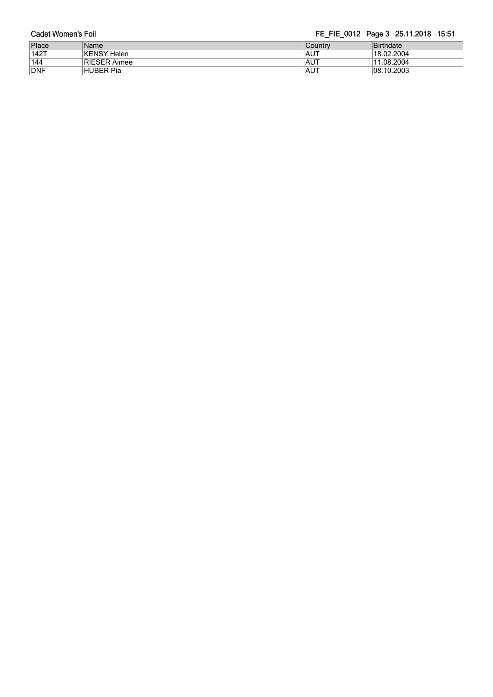| Cadet Women's Foil |      | FE_FIE_0012 Page 3 25.11.2018 15:51 |
|--------------------|------|-------------------------------------|
| Place              | Name |                                     |

| Place      | Name                | <b>Country</b> | <b>Birthdate</b> |
|------------|---------------------|----------------|------------------|
| $142$ T    | KENSY Helen         | <b>IAUT</b>    | 18.02.2004       |
| 144        | <b>RIESER Aimee</b> | <b>IAUT</b>    | 11.08.2004       |
| <b>DNF</b> | HUBER Pia           | <b>IAUT</b>    | 08.10.2003       |
|            |                     |                |                  |